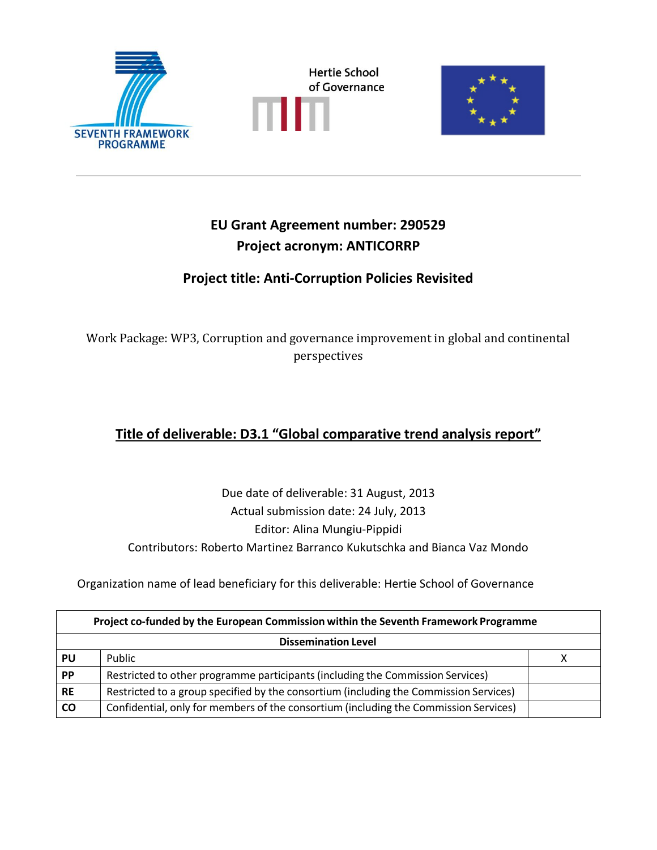





# **EU Grant Agreement number: 290529 Project acronym: ANTICORRP**

# **Project title: Anti-Corruption Policies Revisited**

Work Package: WP3, Corruption and governance improvement in global and continental perspectives

# **Title of deliverable: D3.1 "Global comparative trend analysis report"**

Due date of deliverable: 31 August, 2013 Actual submission date: 24 July, 2013 Editor: Alina Mungiu-Pippidi Contributors: Roberto Martinez Barranco Kukutschka and Bianca Vaz Mondo

Organization name of lead beneficiary for this deliverable: Hertie School of Governance

| Project co-funded by the European Commission within the Seventh Framework Programme |                                                                                       |  |  |  |  |  |
|-------------------------------------------------------------------------------------|---------------------------------------------------------------------------------------|--|--|--|--|--|
|                                                                                     | <b>Dissemination Level</b>                                                            |  |  |  |  |  |
| PU                                                                                  | Public                                                                                |  |  |  |  |  |
| <b>PP</b>                                                                           | Restricted to other programme participants (including the Commission Services)        |  |  |  |  |  |
| <b>RE</b>                                                                           | Restricted to a group specified by the consortium (including the Commission Services) |  |  |  |  |  |
| <b>CO</b>                                                                           | Confidential, only for members of the consortium (including the Commission Services)  |  |  |  |  |  |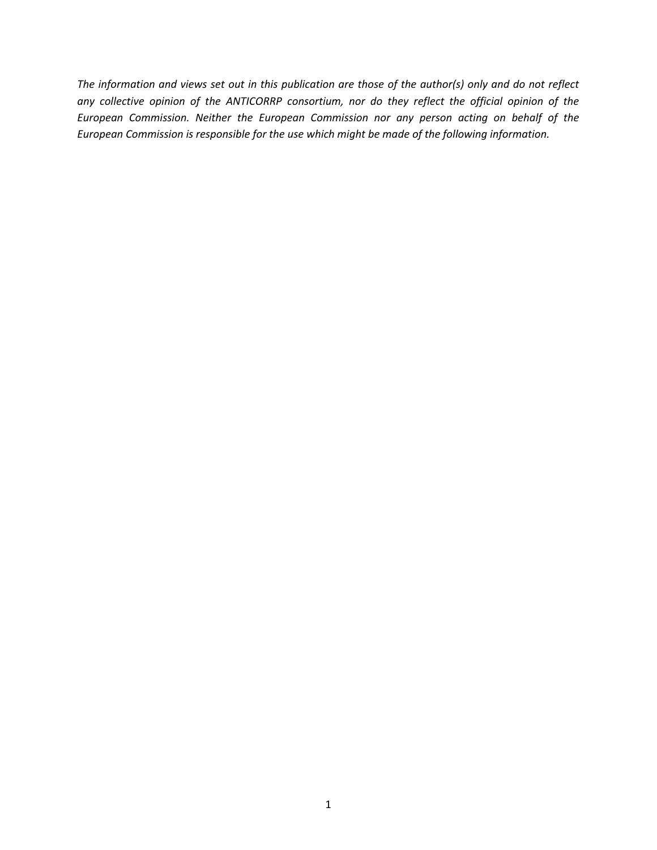*The information and views set out in this publication are those of the author(s) only and do not reflect any collective opinion of the ANTICORRP consortium, nor do they reflect the official opinion of the European Commission. Neither the European Commission nor any person acting on behalf of the European Commission is responsible for the use which might be made of the following information.*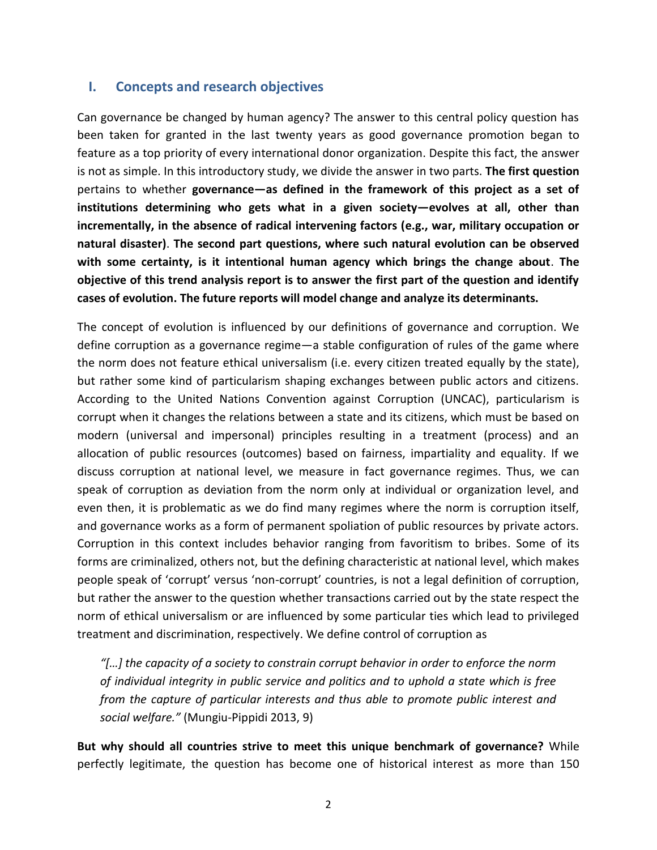# **I. Concepts and research objectives**

Can governance be changed by human agency? The answer to this central policy question has been taken for granted in the last twenty years as good governance promotion began to feature as a top priority of every international donor organization. Despite this fact, the answer is not as simple. In this introductory study, we divide the answer in two parts. **The first question** pertains to whether **governance—as defined in the framework of this project as a set of institutions determining who gets what in a given society—evolves at all, other than incrementally, in the absence of radical intervening factors (e.g., war, military occupation or natural disaster)**. **The second part questions, where such natural evolution can be observed with some certainty, is it intentional human agency which brings the change about**. **The objective of this trend analysis report is to answer the first part of the question and identify cases of evolution. The future reports will model change and analyze its determinants.**

The concept of evolution is influenced by our definitions of governance and corruption. We define corruption as a governance regime—a stable configuration of rules of the game where the norm does not feature ethical universalism (i.e. every citizen treated equally by the state), but rather some kind of particularism shaping exchanges between public actors and citizens. According to the United Nations Convention against Corruption (UNCAC), particularism is corrupt when it changes the relations between a state and its citizens, which must be based on modern (universal and impersonal) principles resulting in a treatment (process) and an allocation of public resources (outcomes) based on fairness, impartiality and equality. If we discuss corruption at national level, we measure in fact governance regimes. Thus, we can speak of corruption as deviation from the norm only at individual or organization level, and even then, it is problematic as we do find many regimes where the norm is corruption itself, and governance works as a form of permanent spoliation of public resources by private actors. Corruption in this context includes behavior ranging from favoritism to bribes. Some of its forms are criminalized, others not, but the defining characteristic at national level, which makes people speak of 'corrupt' versus 'non-corrupt' countries, is not a legal definition of corruption, but rather the answer to the question whether transactions carried out by the state respect the norm of ethical universalism or are influenced by some particular ties which lead to privileged treatment and discrimination, respectively. We define control of corruption as

*"[…] the capacity of a society to constrain corrupt behavior in order to enforce the norm of individual integrity in public service and politics and to uphold a state which is free from the capture of particular interests and thus able to promote public interest and social welfare."* (Mungiu-Pippidi 2013, 9)

**But why should all countries strive to meet this unique benchmark of governance?** While perfectly legitimate, the question has become one of historical interest as more than 150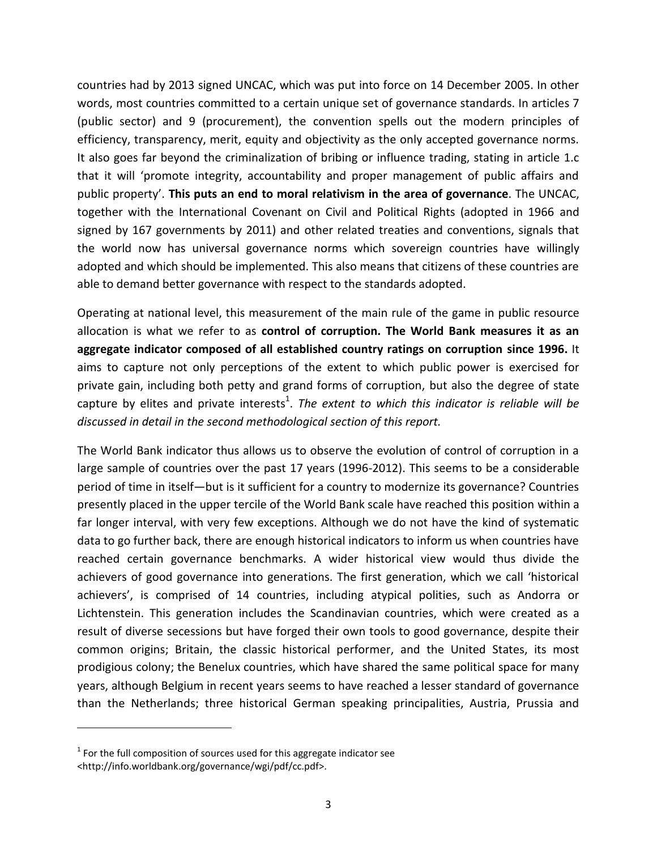countries had by 2013 signed UNCAC, which was put into force on 14 December 2005. In other words, most countries committed to a certain unique set of governance standards. In articles 7 (public sector) and 9 (procurement), the convention spells out the modern principles of efficiency, transparency, merit, equity and objectivity as the only accepted governance norms. It also goes far beyond the criminalization of bribing or influence trading, stating in article 1.c that it will 'promote integrity, accountability and proper management of public affairs and public property'. **This puts an end to moral relativism in the area of governance**. The UNCAC, together with the International Covenant on Civil and Political Rights (adopted in 1966 and signed by 167 governments by 2011) and other related treaties and conventions, signals that the world now has universal governance norms which sovereign countries have willingly adopted and which should be implemented. This also means that citizens of these countries are able to demand better governance with respect to the standards adopted.

Operating at national level, this measurement of the main rule of the game in public resource allocation is what we refer to as **control of corruption. The World Bank measures it as an aggregate indicator composed of all established country ratings on corruption since 1996.** It aims to capture not only perceptions of the extent to which public power is exercised for private gain, including both petty and grand forms of corruption, but also the degree of state capture by elites and private interests<sup>1</sup>. The extent to which this indicator is reliable will be *discussed in detail in the second methodological section of this report.*

The World Bank indicator thus allows us to observe the evolution of control of corruption in a large sample of countries over the past 17 years (1996-2012). This seems to be a considerable period of time in itself—but is it sufficient for a country to modernize its governance? Countries presently placed in the upper tercile of the World Bank scale have reached this position within a far longer interval, with very few exceptions. Although we do not have the kind of systematic data to go further back, there are enough historical indicators to inform us when countries have reached certain governance benchmarks. A wider historical view would thus divide the achievers of good governance into generations. The first generation, which we call 'historical achievers', is comprised of 14 countries, including atypical polities, such as Andorra or Lichtenstein. This generation includes the Scandinavian countries, which were created as a result of diverse secessions but have forged their own tools to good governance, despite their common origins; Britain, the classic historical performer, and the United States, its most prodigious colony; the Benelux countries, which have shared the same political space for many years, although Belgium in recent years seems to have reached a lesser standard of governance than the Netherlands; three historical German speaking principalities, Austria, Prussia and

 $\overline{\phantom{a}}$ 

 $1$  For the full composition of sources used for this aggregate indicator see <http://info.worldbank.org/governance/wgi/pdf/cc.pdf>.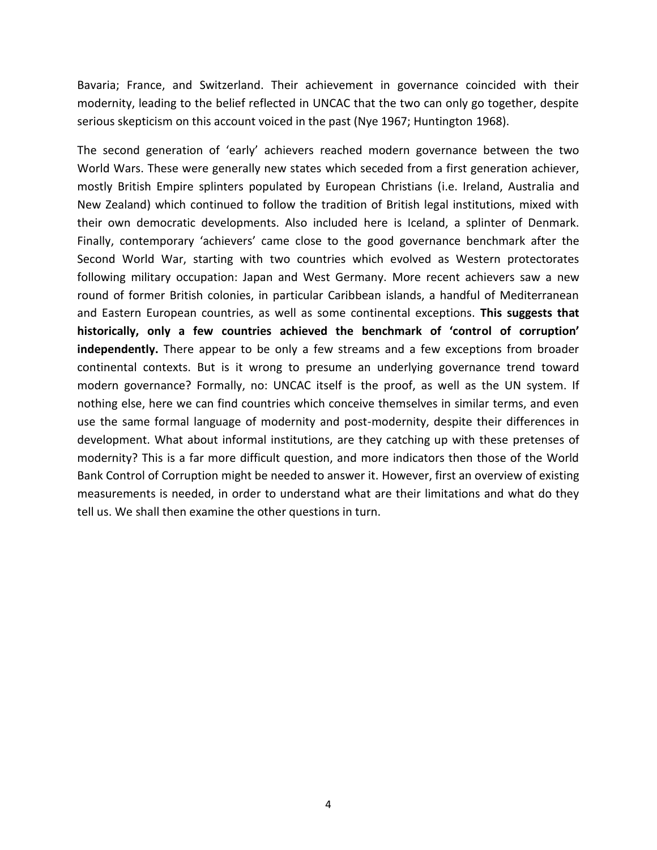Bavaria; France, and Switzerland. Their achievement in governance coincided with their modernity, leading to the belief reflected in UNCAC that the two can only go together, despite serious skepticism on this account voiced in the past (Nye 1967; Huntington 1968).

The second generation of 'early' achievers reached modern governance between the two World Wars. These were generally new states which seceded from a first generation achiever, mostly British Empire splinters populated by European Christians (i.e. Ireland, Australia and New Zealand) which continued to follow the tradition of British legal institutions, mixed with their own democratic developments. Also included here is Iceland, a splinter of Denmark. Finally, contemporary 'achievers' came close to the good governance benchmark after the Second World War, starting with two countries which evolved as Western protectorates following military occupation: Japan and West Germany. More recent achievers saw a new round of former British colonies, in particular Caribbean islands, a handful of Mediterranean and Eastern European countries, as well as some continental exceptions. **This suggests that historically, only a few countries achieved the benchmark of 'control of corruption' independently.** There appear to be only a few streams and a few exceptions from broader continental contexts. But is it wrong to presume an underlying governance trend toward modern governance? Formally, no: UNCAC itself is the proof, as well as the UN system. If nothing else, here we can find countries which conceive themselves in similar terms, and even use the same formal language of modernity and post-modernity, despite their differences in development. What about informal institutions, are they catching up with these pretenses of modernity? This is a far more difficult question, and more indicators then those of the World Bank Control of Corruption might be needed to answer it. However, first an overview of existing measurements is needed, in order to understand what are their limitations and what do they tell us. We shall then examine the other questions in turn.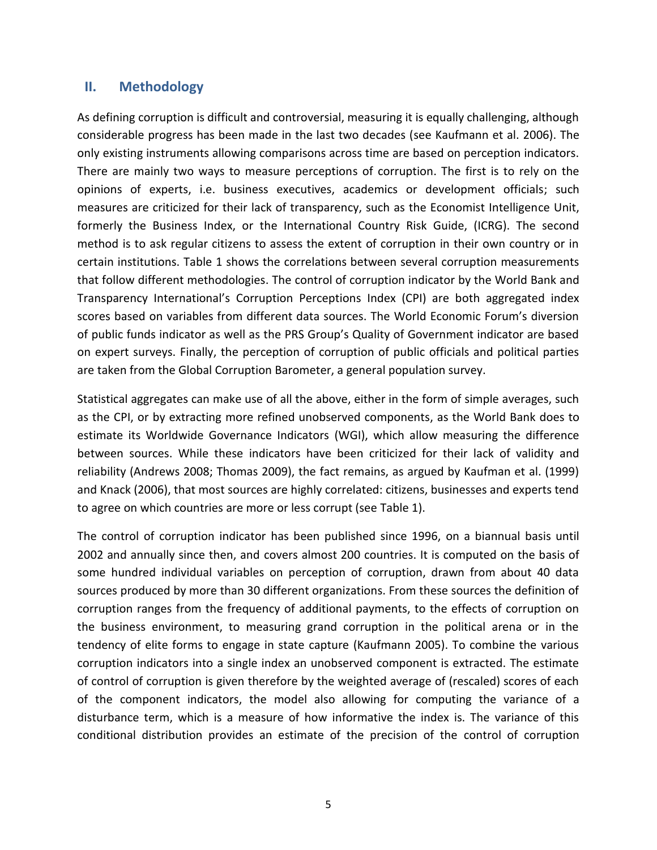## **II. Methodology**

As defining corruption is difficult and controversial, measuring it is equally challenging, although considerable progress has been made in the last two decades (see Kaufmann et al. 2006). The only existing instruments allowing comparisons across time are based on perception indicators. There are mainly two ways to measure perceptions of corruption. The first is to rely on the opinions of experts, i.e. business executives, academics or development officials; such measures are criticized for their lack of transparency, such as the Economist Intelligence Unit, formerly the Business Index, or the International Country Risk Guide, (ICRG). The second method is to ask regular citizens to assess the extent of corruption in their own country or in certain institutions. [Table 1](#page-7-0) shows the correlations between several corruption measurements that follow different methodologies. The control of corruption indicator by the World Bank and Transparency International's Corruption Perceptions Index (CPI) are both aggregated index scores based on variables from different data sources. The World Economic Forum's diversion of public funds indicator as well as the PRS Group's Quality of Government indicator are based on expert surveys. Finally, the perception of corruption of public officials and political parties are taken from the Global Corruption Barometer, a general population survey.

Statistical aggregates can make use of all the above, either in the form of simple averages, such as the CPI, or by extracting more refined unobserved components, as the World Bank does to estimate its Worldwide Governance Indicators (WGI), which allow measuring the difference between sources. While these indicators have been criticized for their lack of validity and reliability (Andrews 2008; Thomas 2009), the fact remains, as argued by Kaufman et al. (1999) and Knack (2006), that most sources are highly correlated: citizens, businesses and experts tend to agree on which countries are more or less corrupt (see [Table 1\)](#page-7-0).

The control of corruption indicator has been published since 1996, on a biannual basis until 2002 and annually since then, and covers almost 200 countries. It is computed on the basis of some hundred individual variables on perception of corruption, drawn from about 40 data sources produced by more than 30 different organizations. From these sources the definition of corruption ranges from the frequency of additional payments, to the effects of corruption on the business environment, to measuring grand corruption in the political arena or in the tendency of elite forms to engage in state capture (Kaufmann 2005). To combine the various corruption indicators into a single index an unobserved component is extracted. The estimate of control of corruption is given therefore by the weighted average of (rescaled) scores of each of the component indicators, the model also allowing for computing the variance of a disturbance term, which is a measure of how informative the index is. The variance of this conditional distribution provides an estimate of the precision of the control of corruption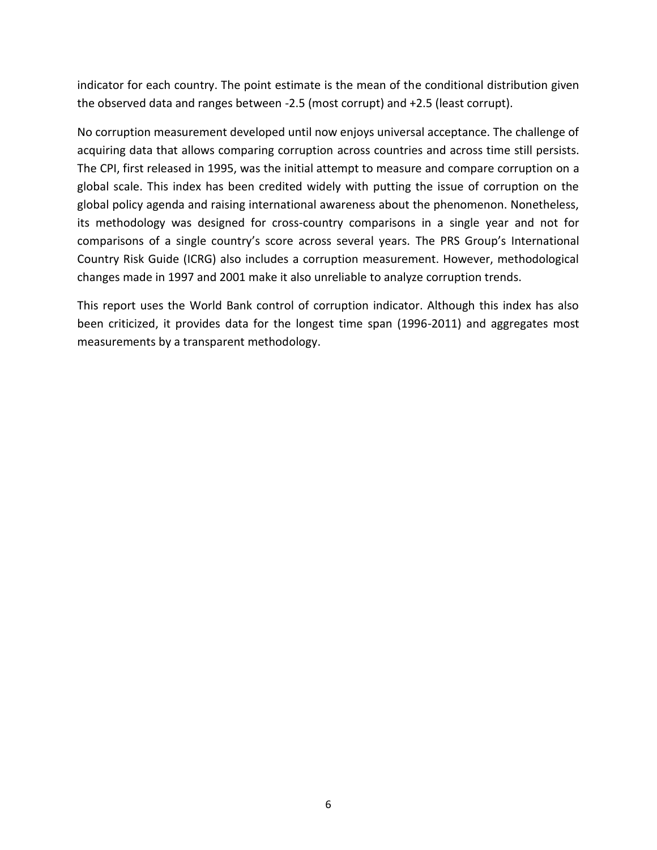indicator for each country. The point estimate is the mean of the conditional distribution given the observed data and ranges between -2.5 (most corrupt) and +2.5 (least corrupt).

No corruption measurement developed until now enjoys universal acceptance. The challenge of acquiring data that allows comparing corruption across countries and across time still persists. The CPI, first released in 1995, was the initial attempt to measure and compare corruption on a global scale. This index has been credited widely with putting the issue of corruption on the global policy agenda and raising international awareness about the phenomenon. Nonetheless, its methodology was designed for cross-country comparisons in a single year and not for comparisons of a single country's score across several years. The PRS Group's International Country Risk Guide (ICRG) also includes a corruption measurement. However, methodological changes made in 1997 and 2001 make it also unreliable to analyze corruption trends.

This report uses the World Bank control of corruption indicator. Although this index has also been criticized, it provides data for the longest time span (1996-2011) and aggregates most measurements by a transparent methodology.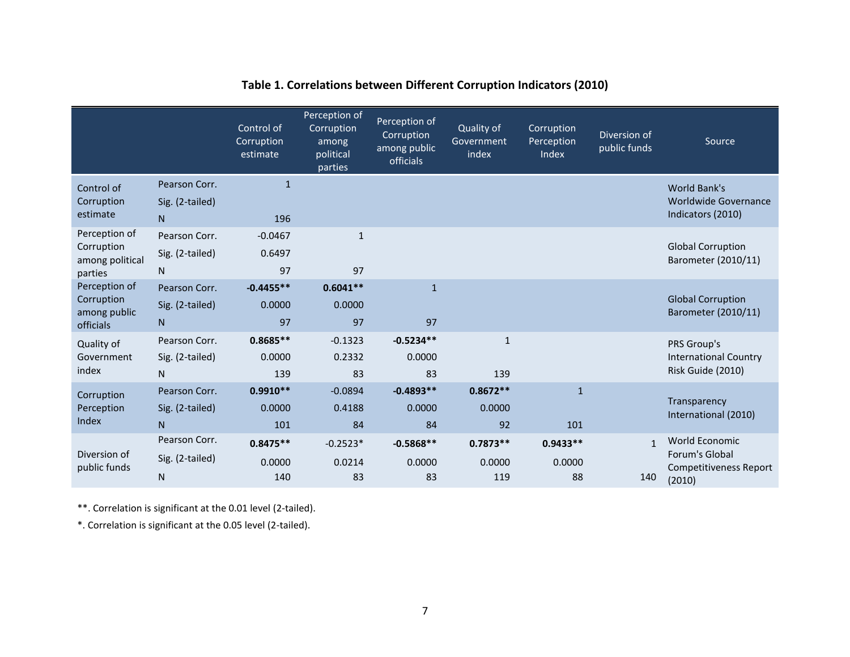<span id="page-7-0"></span>

|                                                           |                                       | Control of<br>Corruption<br>estimate | Perception of<br>Corruption<br>among<br>political<br>parties | Perception of<br>Corruption<br>among public<br>officials | Quality of<br>Government<br>index | Corruption<br>Perception<br>Index | Diversion of<br>public funds | Source                                                               |
|-----------------------------------------------------------|---------------------------------------|--------------------------------------|--------------------------------------------------------------|----------------------------------------------------------|-----------------------------------|-----------------------------------|------------------------------|----------------------------------------------------------------------|
| Control of<br>Corruption<br>estimate                      | Pearson Corr.<br>Sig. (2-tailed)<br>N | $\mathbf{1}$<br>196                  |                                                              |                                                          |                                   |                                   |                              | World Bank's<br><b>Worldwide Governance</b><br>Indicators (2010)     |
| Perception of<br>Corruption<br>among political<br>parties | Pearson Corr.<br>Sig. (2-tailed)<br>N | $-0.0467$<br>0.6497<br>97            | $\mathbf{1}$<br>97                                           |                                                          |                                   |                                   |                              | <b>Global Corruption</b><br>Barometer (2010/11)                      |
| Perception of<br>Corruption<br>among public<br>officials  | Pearson Corr.<br>Sig. (2-tailed)<br>N | $-0.4455**$<br>0.0000<br>97          | $0.6041**$<br>0.0000<br>97                                   | $\mathbf{1}$<br>97                                       |                                   |                                   |                              | <b>Global Corruption</b><br>Barometer (2010/11)                      |
| Quality of<br>Government<br>index                         | Pearson Corr.<br>Sig. (2-tailed)<br>N | $0.8685**$<br>0.0000<br>139          | $-0.1323$<br>0.2332<br>83                                    | $-0.5234**$<br>0.0000<br>83                              | $\mathbf{1}$<br>139               |                                   |                              | PRS Group's<br><b>International Country</b><br>Risk Guide (2010)     |
| Corruption<br>Perception<br>Index                         | Pearson Corr.<br>Sig. (2-tailed)<br>N | $0.9910**$<br>0.0000<br>101          | $-0.0894$<br>0.4188<br>84                                    | $-0.4893**$<br>0.0000<br>84                              | $0.8672**$<br>0.0000<br>92        | $\mathbf{1}$<br>101               |                              | Transparency<br>International (2010)                                 |
| Diversion of<br>public funds                              | Pearson Corr.<br>Sig. (2-tailed)<br>N | $0.8475**$<br>0.0000<br>140          | $-0.2523*$<br>0.0214<br>83                                   | $-0.5868**$<br>0.0000<br>83                              | $0.7873**$<br>0.0000<br>119       | $0.9433**$<br>0.0000<br>88        | $\mathbf{1}$<br>140          | World Economic<br>Forum's Global<br>Competitiveness Report<br>(2010) |

# **Table 1. Correlations between Different Corruption Indicators (2010)**

\*\*. Correlation is significant at the 0.01 level (2-tailed).

\*. Correlation is significant at the 0.05 level (2-tailed).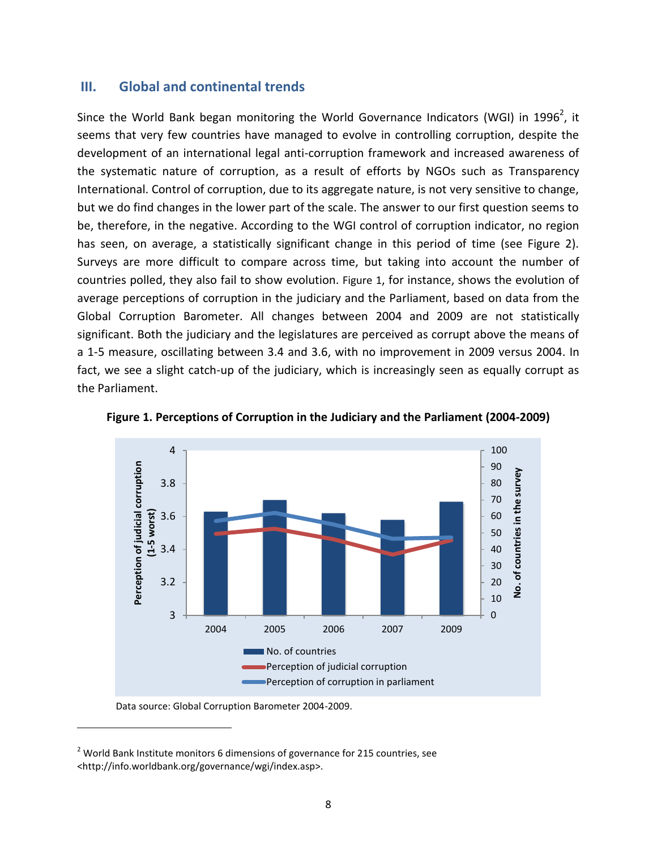## **III. Global and continental trends**

Since the World Bank began monitoring the World Governance Indicators (WGI) in 1996<sup>2</sup>, it seems that very few countries have managed to evolve in controlling corruption, despite the development of an international legal anti-corruption framework and increased awareness of the systematic nature of corruption, as a result of efforts by NGOs such as Transparency International. Control of corruption, due to its aggregate nature, is not very sensitive to change, but we do find changes in the lower part of the scale. The answer to our first question seems to be, therefore, in the negative. According to the WGI control of corruption indicator, no region has seen, on average, a statistically significant change in this period of time (see Figure 2). Surveys are more difficult to compare across time, but taking into account the number of countries polled, they also fail to show evolution. [Figure 1](#page-8-0), for instance, shows the evolution of average perceptions of corruption in the judiciary and the Parliament, based on data from the Global Corruption Barometer. All changes between 2004 and 2009 are not statistically significant. Both the judiciary and the legislatures are perceived as corrupt above the means of a 1-5 measure, oscillating between 3.4 and 3.6, with no improvement in 2009 versus 2004. In fact, we see a slight catch-up of the judiciary, which is increasingly seen as equally corrupt as the Parliament.



<span id="page-8-0"></span>**Figure 1. Perceptions of Corruption in the Judiciary and the Parliament (2004-2009)**

Data source: Global Corruption Barometer 2004-2009.

 $\overline{\phantom{a}}$ 

 $2$  World Bank Institute monitors 6 dimensions of governance for 215 countries, see <http://info.worldbank.org/governance/wgi/index.asp>.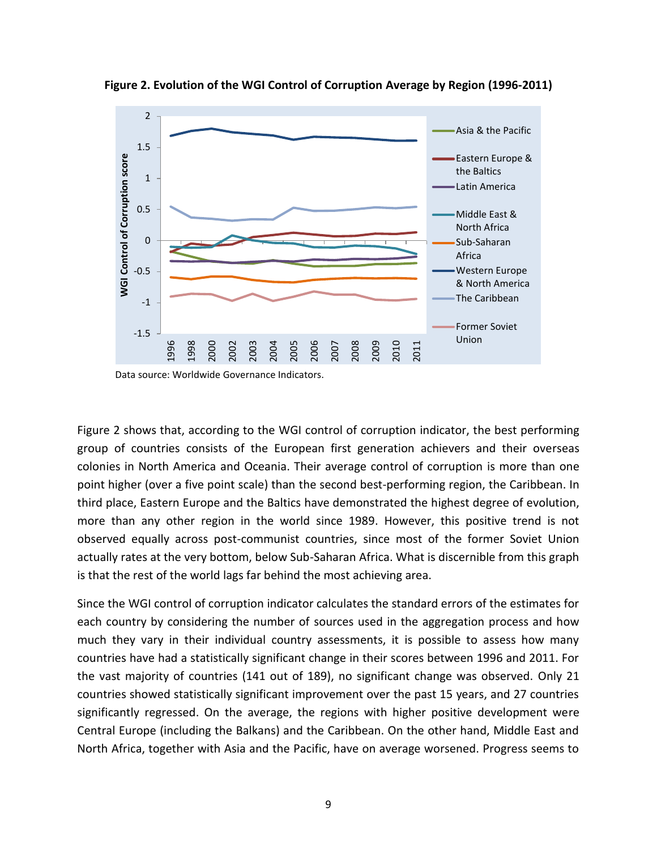

<span id="page-9-0"></span>**Figure 2. Evolution of the WGI Control of Corruption Average by Region (1996-2011)**

Data source: Worldwide Governance Indicators.

[Figure 2](#page-9-0) shows that, according to the WGI control of corruption indicator, the best performing group of countries consists of the European first generation achievers and their overseas colonies in North America and Oceania. Their average control of corruption is more than one point higher (over a five point scale) than the second best-performing region, the Caribbean. In third place, Eastern Europe and the Baltics have demonstrated the highest degree of evolution, more than any other region in the world since 1989. However, this positive trend is not observed equally across post-communist countries, since most of the former Soviet Union actually rates at the very bottom, below Sub-Saharan Africa. What is discernible from this graph is that the rest of the world lags far behind the most achieving area.

Since the WGI control of corruption indicator calculates the standard errors of the estimates for each country by considering the number of sources used in the aggregation process and how much they vary in their individual country assessments, it is possible to assess how many countries have had a statistically significant change in their scores between 1996 and 2011. For the vast majority of countries (141 out of 189), no significant change was observed. Only 21 countries showed statistically significant improvement over the past 15 years, and 27 countries significantly regressed. On the average, the regions with higher positive development were Central Europe (including the Balkans) and the Caribbean. On the other hand, Middle East and North Africa, together with Asia and the Pacific, have on average worsened. Progress seems to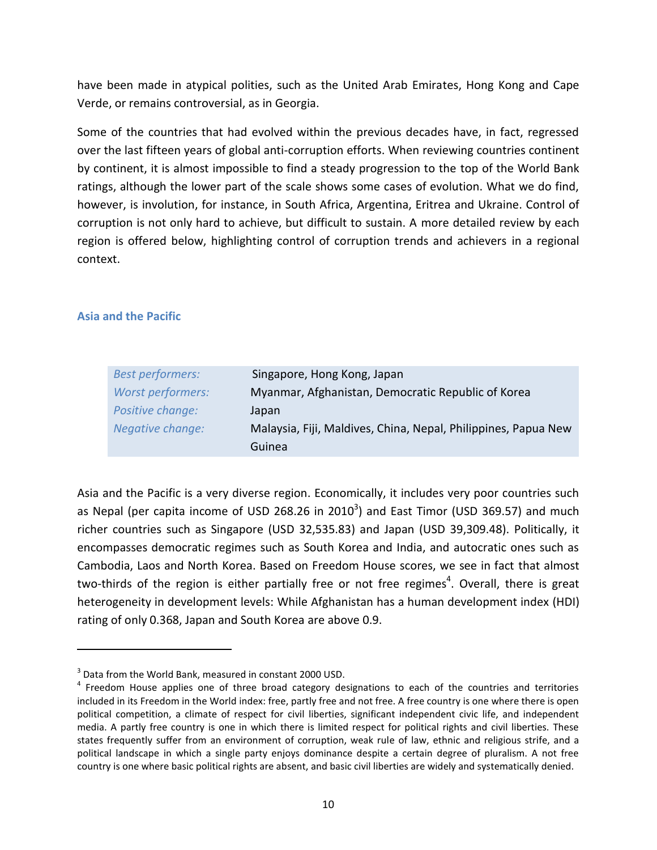have been made in atypical polities, such as the United Arab Emirates, Hong Kong and Cape Verde, or remains controversial, as in Georgia.

Some of the countries that had evolved within the previous decades have, in fact, regressed over the last fifteen years of global anti-corruption efforts. When reviewing countries continent by continent, it is almost impossible to find a steady progression to the top of the World Bank ratings, although the lower part of the scale shows some cases of evolution. What we do find, however, is involution, for instance, in South Africa, Argentina, Eritrea and Ukraine. Control of corruption is not only hard to achieve, but difficult to sustain. A more detailed review by each region is offered below, highlighting control of corruption trends and achievers in a regional context.

### **Asia and the Pacific**

 $\overline{a}$ 

| <b>Best performers:</b>  | Singapore, Hong Kong, Japan                                    |
|--------------------------|----------------------------------------------------------------|
| <b>Worst performers:</b> | Myanmar, Afghanistan, Democratic Republic of Korea             |
| Positive change:         | Japan                                                          |
| Negative change:         | Malaysia, Fiji, Maldives, China, Nepal, Philippines, Papua New |
|                          | Guinea                                                         |

Asia and the Pacific is a very diverse region. Economically, it includes very poor countries such as Nepal (per capita income of USD 268.26 in 2010<sup>3</sup>) and East Timor (USD 369.57) and much richer countries such as Singapore (USD 32,535.83) and Japan (USD 39,309.48). Politically, it encompasses democratic regimes such as South Korea and India, and autocratic ones such as Cambodia, Laos and North Korea. Based on Freedom House scores, we see in fact that almost two-thirds of the region is either partially free or not free regimes<sup>4</sup>. Overall, there is great heterogeneity in development levels: While Afghanistan has a human development index (HDI) rating of only 0.368, Japan and South Korea are above 0.9.

<sup>&</sup>lt;sup>3</sup> Data from the World Bank, measured in constant 2000 USD.

<sup>&</sup>lt;sup>4</sup> Freedom House applies one of three broad category designations to each of the countries and territories included in its Freedom in the World index: free, partly free and not free. A free country is one where there is open political competition, a climate of respect for civil liberties, significant independent civic life, and independent media. A partly free country is one in which there is limited respect for political rights and civil liberties. These states frequently suffer from an environment of corruption, weak rule of law, ethnic and religious strife, and a political landscape in which a single party enjoys dominance despite a certain degree of pluralism. A not free country is one where basic political rights are absent, and basic civil liberties are widely and systematically denied.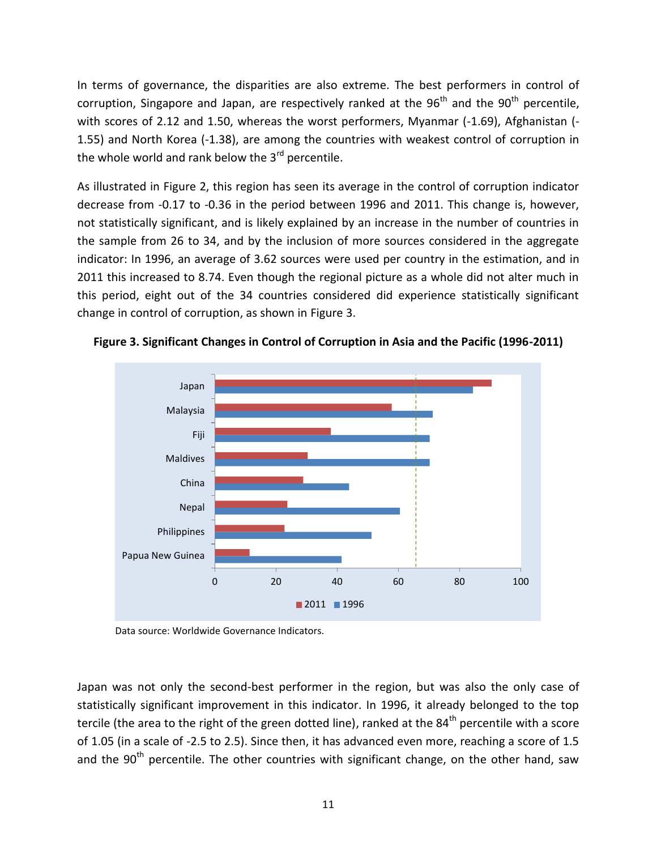In terms of governance, the disparities are also extreme. The best performers in control of corruption, Singapore and Japan, are respectively ranked at the  $96<sup>th</sup>$  and the  $90<sup>th</sup>$  percentile, with scores of 2.12 and 1.50, whereas the worst performers, Myanmar (-1.69), Afghanistan (-1.55) and North Korea (-1.38), are among the countries with weakest control of corruption in the whole world and rank below the  $3<sup>rd</sup>$  percentile.

As illustrated in [Figure 2,](#page-9-0) this region has seen its average in the control of corruption indicator decrease from -0.17 to -0.36 in the period between 1996 and 2011. This change is, however, not statistically significant, and is likely explained by an increase in the number of countries in the sample from 26 to 34, and by the inclusion of more sources considered in the aggregate indicator: In 1996, an average of 3.62 sources were used per country in the estimation, and in 2011 this increased to 8.74. Even though the regional picture as a whole did not alter much in this period, eight out of the 34 countries considered did experience statistically significant change in control of corruption, as shown in [Figure 3.](#page-11-0)



<span id="page-11-0"></span>**Figure 3. Significant Changes in Control of Corruption in Asia and the Pacific (1996-2011)**

Data source: Worldwide Governance Indicators.

Japan was not only the second-best performer in the region, but was also the only case of statistically significant improvement in this indicator. In 1996, it already belonged to the top tercile (the area to the right of the green dotted line), ranked at the 84<sup>th</sup> percentile with a score of 1.05 (in a scale of -2.5 to 2.5). Since then, it has advanced even more, reaching a score of 1.5 and the  $90<sup>th</sup>$  percentile. The other countries with significant change, on the other hand, saw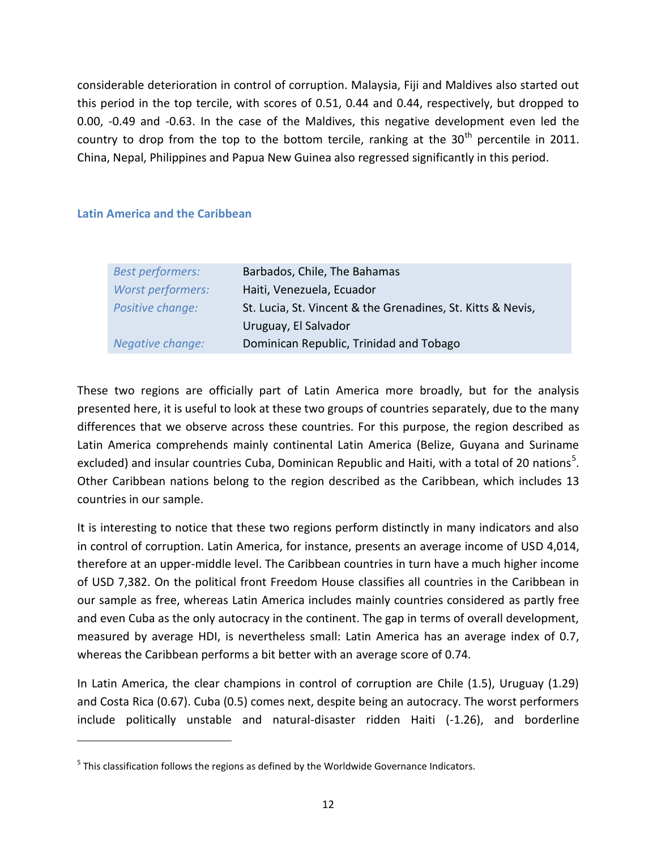considerable deterioration in control of corruption. Malaysia, Fiji and Maldives also started out this period in the top tercile, with scores of 0.51, 0.44 and 0.44, respectively, but dropped to 0.00, -0.49 and -0.63. In the case of the Maldives, this negative development even led the country to drop from the top to the bottom tercile, ranking at the  $30<sup>th</sup>$  percentile in 2011. China, Nepal, Philippines and Papua New Guinea also regressed significantly in this period.

#### **Latin America and the Caribbean**

 $\overline{\phantom{a}}$ 

| <b>Best performers:</b> | Barbados, Chile, The Bahamas                                |
|-------------------------|-------------------------------------------------------------|
| Worst performers:       | Haiti, Venezuela, Ecuador                                   |
| Positive change:        | St. Lucia, St. Vincent & the Grenadines, St. Kitts & Nevis, |
|                         | Uruguay, El Salvador                                        |
| Negative change:        | Dominican Republic, Trinidad and Tobago                     |

These two regions are officially part of Latin America more broadly, but for the analysis presented here, it is useful to look at these two groups of countries separately, due to the many differences that we observe across these countries. For this purpose, the region described as Latin America comprehends mainly continental Latin America (Belize, Guyana and Suriname excluded) and insular countries Cuba, Dominican Republic and Haiti, with a total of 20 nations<sup>5</sup>. Other Caribbean nations belong to the region described as the Caribbean, which includes 13 countries in our sample.

It is interesting to notice that these two regions perform distinctly in many indicators and also in control of corruption. Latin America, for instance, presents an average income of USD 4,014, therefore at an upper-middle level. The Caribbean countries in turn have a much higher income of USD 7,382. On the political front Freedom House classifies all countries in the Caribbean in our sample as free, whereas Latin America includes mainly countries considered as partly free and even Cuba as the only autocracy in the continent. The gap in terms of overall development, measured by average HDI, is nevertheless small: Latin America has an average index of 0.7, whereas the Caribbean performs a bit better with an average score of 0.74.

In Latin America, the clear champions in control of corruption are Chile (1.5), Uruguay (1.29) and Costa Rica (0.67). Cuba (0.5) comes next, despite being an autocracy. The worst performers include politically unstable and natural-disaster ridden Haiti (-1.26), and borderline

 $<sup>5</sup>$  This classification follows the regions as defined by the Worldwide Governance Indicators.</sup>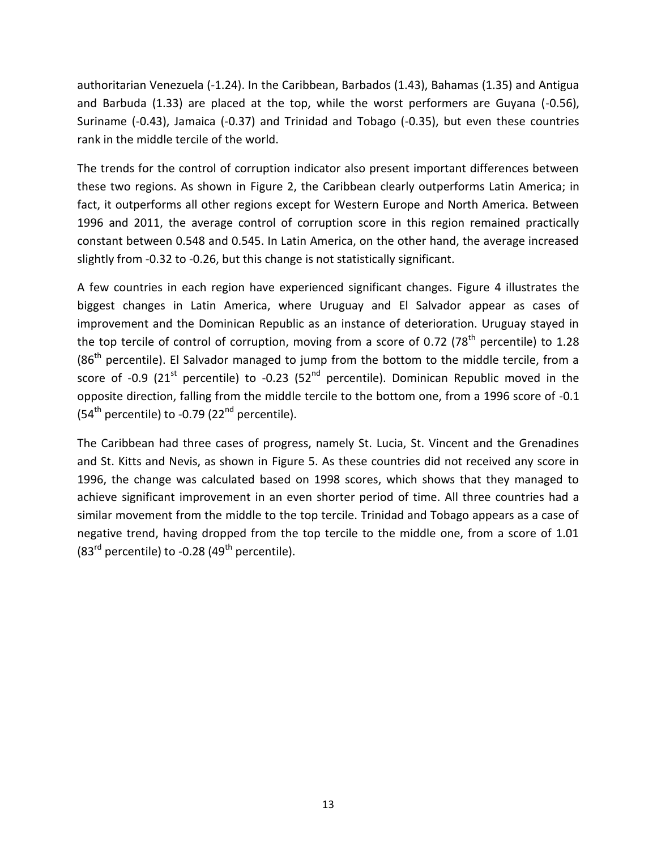authoritarian Venezuela (-1.24). In the Caribbean, Barbados (1.43), Bahamas (1.35) and Antigua and Barbuda (1.33) are placed at the top, while the worst performers are Guyana (-0.56), Suriname (-0.43), Jamaica (-0.37) and Trinidad and Tobago (-0.35), but even these countries rank in the middle tercile of the world.

The trends for the control of corruption indicator also present important differences between these two regions. As shown in [Figure 2,](#page-9-0) the Caribbean clearly outperforms Latin America; in fact, it outperforms all other regions except for Western Europe and North America. Between 1996 and 2011, the average control of corruption score in this region remained practically constant between 0.548 and 0.545. In Latin America, on the other hand, the average increased slightly from -0.32 to -0.26, but this change is not statistically significant.

A few countries in each region have experienced significant changes. [Figure 4](#page-14-0) illustrates the biggest changes in Latin America, where Uruguay and El Salvador appear as cases of improvement and the Dominican Republic as an instance of deterioration. Uruguay stayed in the top tercile of control of corruption, moving from a score of 0.72 (78<sup>th</sup> percentile) to 1.28  $(86<sup>th</sup>$  percentile). El Salvador managed to jump from the bottom to the middle tercile, from a score of -0.9 (21<sup>st</sup> percentile) to -0.23 (52<sup>nd</sup> percentile). Dominican Republic moved in the opposite direction, falling from the middle tercile to the bottom one, from a 1996 score of -0.1 (54<sup>th</sup> percentile) to -0.79 (22<sup>nd</sup> percentile).

The Caribbean had three cases of progress, namely St. Lucia, St. Vincent and the Grenadines and St. Kitts and Nevis, as shown in [Figure 5.](#page-14-1) As these countries did not received any score in 1996, the change was calculated based on 1998 scores, which shows that they managed to achieve significant improvement in an even shorter period of time. All three countries had a similar movement from the middle to the top tercile. Trinidad and Tobago appears as a case of negative trend, having dropped from the top tercile to the middle one, from a score of 1.01  $(83<sup>rd</sup>$  percentile) to -0.28 (49<sup>th</sup> percentile).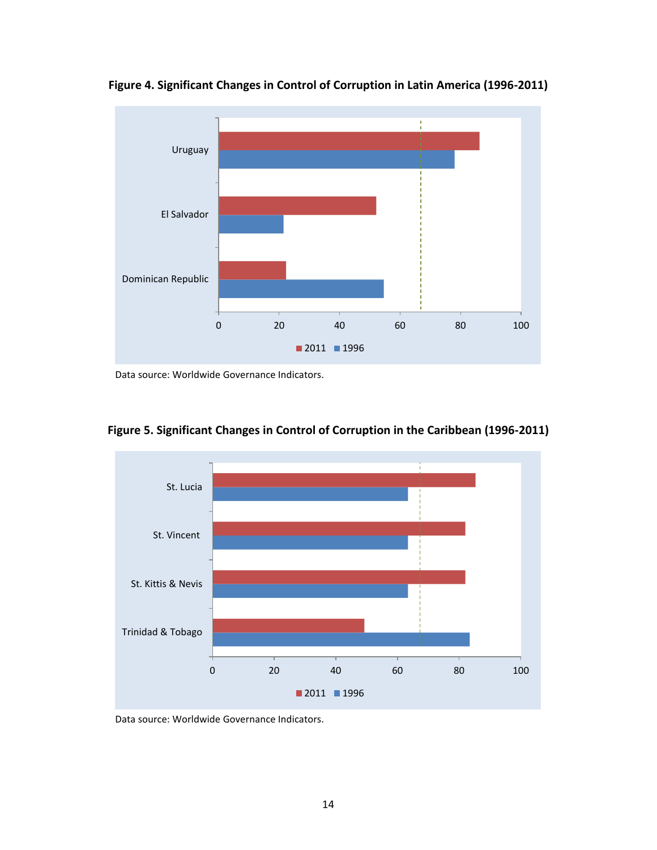

<span id="page-14-0"></span>**Figure 4. Significant Changes in Control of Corruption in Latin America (1996-2011)**

Data source: Worldwide Governance Indicators.



<span id="page-14-1"></span>**Figure 5. Significant Changes in Control of Corruption in the Caribbean (1996-2011)**

Data source: Worldwide Governance Indicators.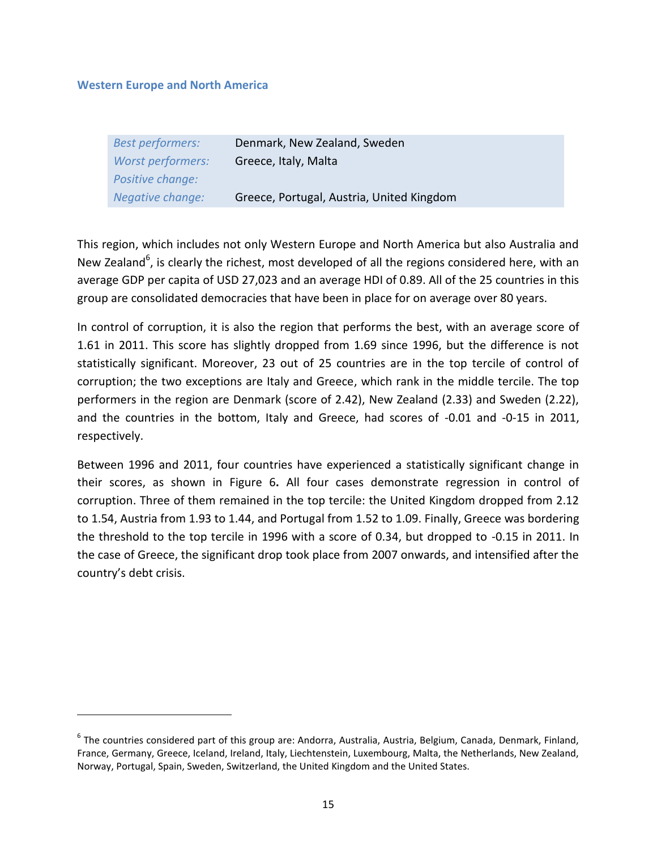#### **Western Europe and North America**

 $\overline{a}$ 

| <b>Best performers:</b> | Denmark, New Zealand, Sweden              |
|-------------------------|-------------------------------------------|
| Worst performers:       | Greece, Italy, Malta                      |
| Positive change:        |                                           |
| Negative change:        | Greece, Portugal, Austria, United Kingdom |

This region, which includes not only Western Europe and North America but also Australia and New Zealand<sup>6</sup>, is clearly the richest, most developed of all the regions considered here, with an average GDP per capita of USD 27,023 and an average HDI of 0.89. All of the 25 countries in this group are consolidated democracies that have been in place for on average over 80 years.

In control of corruption, it is also the region that performs the best, with an average score of 1.61 in 2011. This score has slightly dropped from 1.69 since 1996, but the difference is not statistically significant. Moreover, 23 out of 25 countries are in the top tercile of control of corruption; the two exceptions are Italy and Greece, which rank in the middle tercile. The top performers in the region are Denmark (score of 2.42), New Zealand (2.33) and Sweden (2.22), and the countries in the bottom, Italy and Greece, had scores of -0.01 and -0-15 in 2011, respectively.

Between 1996 and 2011, four countries have experienced a statistically significant change in their scores, as shown in [Figure 6](#page-16-0)**.** All four cases demonstrate regression in control of corruption. Three of them remained in the top tercile: the United Kingdom dropped from 2.12 to 1.54, Austria from 1.93 to 1.44, and Portugal from 1.52 to 1.09. Finally, Greece was bordering the threshold to the top tercile in 1996 with a score of 0.34, but dropped to -0.15 in 2011. In the case of Greece, the significant drop took place from 2007 onwards, and intensified after the country's debt crisis.

<sup>&</sup>lt;sup>6</sup> The countries considered part of this group are: Andorra, Australia, Austria, Belgium, Canada, Denmark, Finland, France, Germany, Greece, Iceland, Ireland, Italy, Liechtenstein, Luxembourg, Malta, the Netherlands, New Zealand, Norway, Portugal, Spain, Sweden, Switzerland, the United Kingdom and the United States.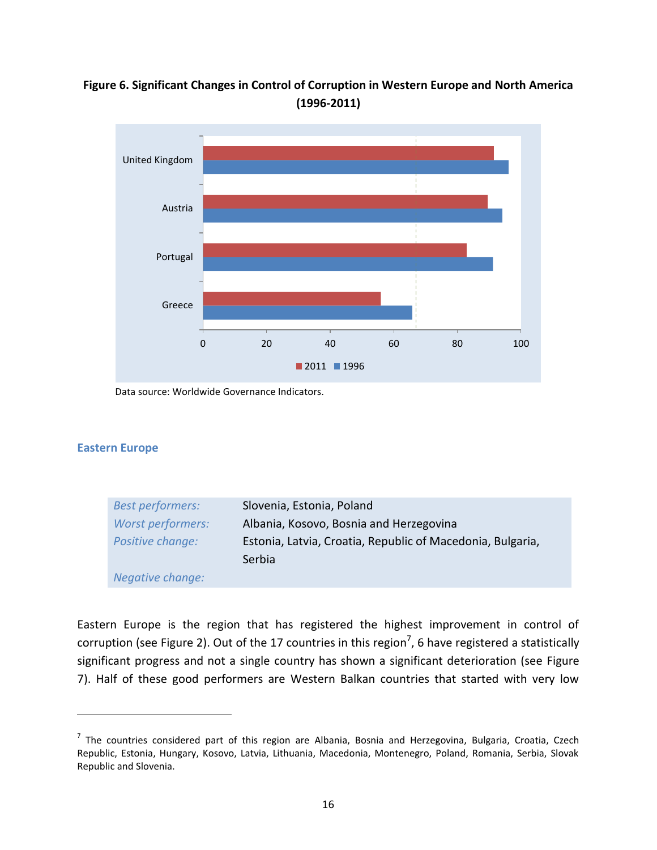# <span id="page-16-0"></span>**Figure 6. Significant Changes in Control of Corruption in Western Europe and North America (1996-2011)**



Data source: Worldwide Governance Indicators.

#### **Eastern Europe**

 $\overline{a}$ 

| <b>Best performers:</b>  | Slovenia, Estonia, Poland                                  |
|--------------------------|------------------------------------------------------------|
| <b>Worst performers:</b> | Albania, Kosovo, Bosnia and Herzegovina                    |
| Positive change:         | Estonia, Latvia, Croatia, Republic of Macedonia, Bulgaria, |
|                          | Serbia                                                     |
| <b>Negative change:</b>  |                                                            |

Eastern Europe is the region that has registered the highest improvement in control of corruption (see [Figure 2\)](#page-9-0). Out of the 17 countries in this region<sup>7</sup>, 6 have registered a statistically significant progress and not a single country has shown a significant deterioration (see [Figure](#page-17-0)  [7\)](#page-17-0). Half of these good performers are Western Balkan countries that started with very low

<sup>&</sup>lt;sup>7</sup> The countries considered part of this region are Albania, Bosnia and Herzegovina, Bulgaria, Croatia, Czech Republic, Estonia, Hungary, Kosovo, Latvia, Lithuania, Macedonia, Montenegro, Poland, Romania, Serbia, Slovak Republic and Slovenia.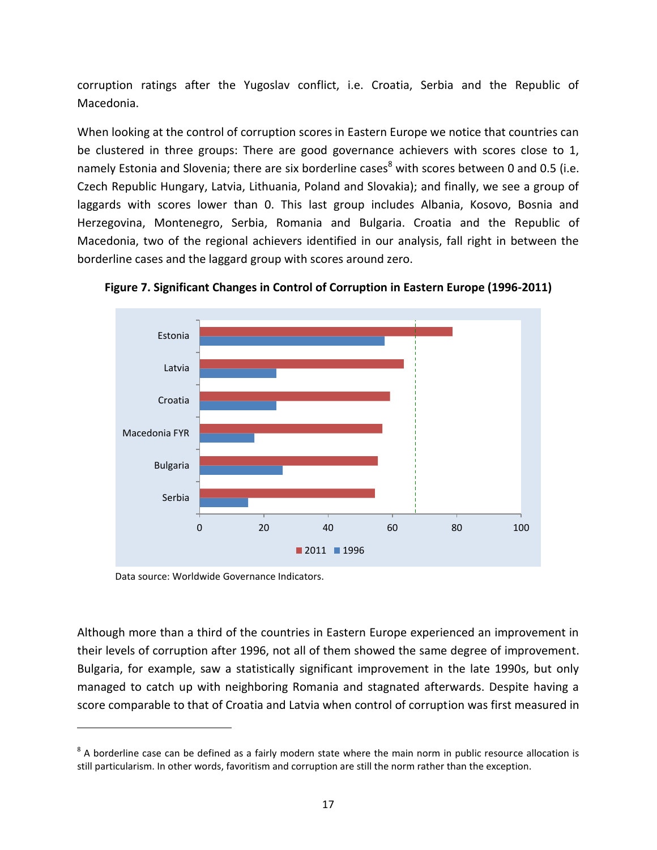corruption ratings after the Yugoslav conflict, i.e. Croatia, Serbia and the Republic of Macedonia.

When looking at the control of corruption scores in Eastern Europe we notice that countries can be clustered in three groups: There are good governance achievers with scores close to 1, namely Estonia and Slovenia; there are six borderline cases<sup>8</sup> with scores between 0 and 0.5 (i.e. Czech Republic Hungary, Latvia, Lithuania, Poland and Slovakia); and finally, we see a group of laggards with scores lower than 0. This last group includes Albania, Kosovo, Bosnia and Herzegovina, Montenegro, Serbia, Romania and Bulgaria. Croatia and the Republic of Macedonia, two of the regional achievers identified in our analysis, fall right in between the borderline cases and the laggard group with scores around zero.



<span id="page-17-0"></span>**Figure 7. Significant Changes in Control of Corruption in Eastern Europe (1996-2011)**

Data source: Worldwide Governance Indicators.

 $\overline{\phantom{a}}$ 

Although more than a third of the countries in Eastern Europe experienced an improvement in their levels of corruption after 1996, not all of them showed the same degree of improvement. Bulgaria, for example, saw a statistically significant improvement in the late 1990s, but only managed to catch up with neighboring Romania and stagnated afterwards. Despite having a score comparable to that of Croatia and Latvia when control of corruption was first measured in

 $^8$  A borderline case can be defined as a fairly modern state where the main norm in public resource allocation is still particularism. In other words, favoritism and corruption are still the norm rather than the exception.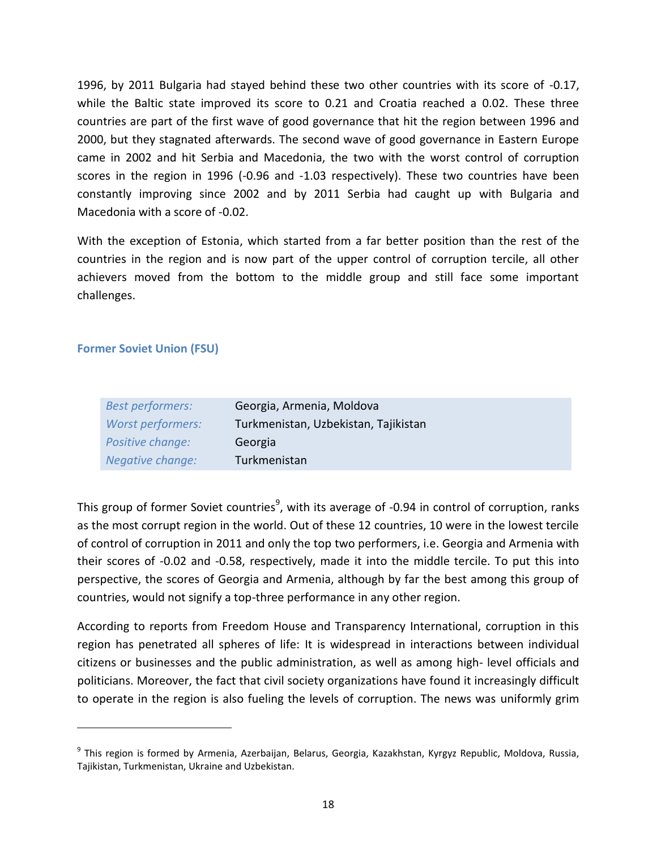1996, by 2011 Bulgaria had stayed behind these two other countries with its score of -0.17, while the Baltic state improved its score to 0.21 and Croatia reached a 0.02. These three countries are part of the first wave of good governance that hit the region between 1996 and 2000, but they stagnated afterwards. The second wave of good governance in Eastern Europe came in 2002 and hit Serbia and Macedonia, the two with the worst control of corruption scores in the region in 1996 (-0.96 and -1.03 respectively). These two countries have been constantly improving since 2002 and by 2011 Serbia had caught up with Bulgaria and Macedonia with a score of -0.02.

With the exception of Estonia, which started from a far better position than the rest of the countries in the region and is now part of the upper control of corruption tercile, all other achievers moved from the bottom to the middle group and still face some important challenges.

### **Former Soviet Union (FSU)**

 $\overline{\phantom{a}}$ 

| <b>Best performers:</b> | Georgia, Armenia, Moldova            |
|-------------------------|--------------------------------------|
| Worst performers:       | Turkmenistan, Uzbekistan, Tajikistan |
| Positive change:        | Georgia                              |
| Negative change:        | Turkmenistan                         |

This group of former Soviet countries<sup>9</sup>, with its average of -0.94 in control of corruption, ranks as the most corrupt region in the world. Out of these 12 countries, 10 were in the lowest tercile of control of corruption in 2011 and only the top two performers, i.e. Georgia and Armenia with their scores of -0.02 and -0.58, respectively, made it into the middle tercile. To put this into perspective, the scores of Georgia and Armenia, although by far the best among this group of countries, would not signify a top-three performance in any other region.

According to reports from Freedom House and Transparency International, corruption in this region has penetrated all spheres of life: It is widespread in interactions between individual citizens or businesses and the public administration, as well as among high- level officials and politicians. Moreover, the fact that civil society organizations have found it increasingly difficult to operate in the region is also fueling the levels of corruption. The news was uniformly grim

<sup>&</sup>lt;sup>9</sup> This region is formed by Armenia, Azerbaijan, Belarus, Georgia, Kazakhstan, Kyrgyz Republic, Moldova, Russia, Tajikistan, Turkmenistan, Ukraine and Uzbekistan.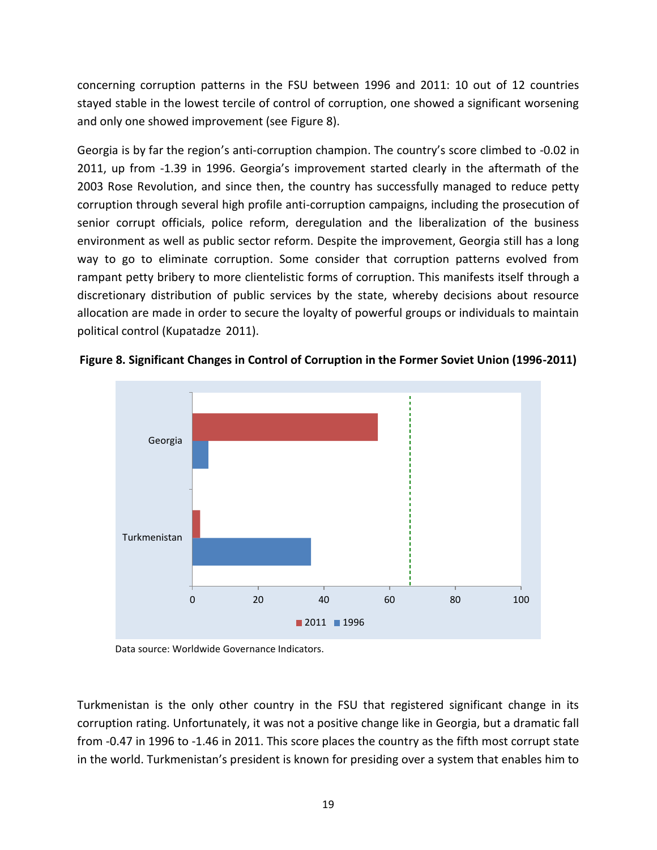concerning corruption patterns in the FSU between 1996 and 2011: 10 out of 12 countries stayed stable in the lowest tercile of control of corruption, one showed a significant worsening and only one showed improvement (see [Figure 8\)](#page-19-0).

Georgia is by far the region's anti-corruption champion. The country's score climbed to -0.02 in 2011, up from -1.39 in 1996. Georgia's improvement started clearly in the aftermath of the 2003 Rose Revolution, and since then, the country has successfully managed to reduce petty corruption through several high profile anti-corruption campaigns, including the prosecution of senior corrupt officials, police reform, deregulation and the liberalization of the business environment as well as public sector reform. Despite the improvement, Georgia still has a long way to go to eliminate corruption. Some consider that corruption patterns evolved from rampant petty bribery to more clientelistic forms of corruption. This manifests itself through a discretionary distribution of public services by the state, whereby decisions about resource allocation are made in order to secure the loyalty of powerful groups or individuals to maintain political control (Kupatadze 2011).



<span id="page-19-0"></span>**Figure 8. Significant Changes in Control of Corruption in the Former Soviet Union (1996-2011)**

Data source: Worldwide Governance Indicators.

Turkmenistan is the only other country in the FSU that registered significant change in its corruption rating. Unfortunately, it was not a positive change like in Georgia, but a dramatic fall from -0.47 in 1996 to -1.46 in 2011. This score places the country as the fifth most corrupt state in the world. Turkmenistan's president is known for presiding over a system that enables him to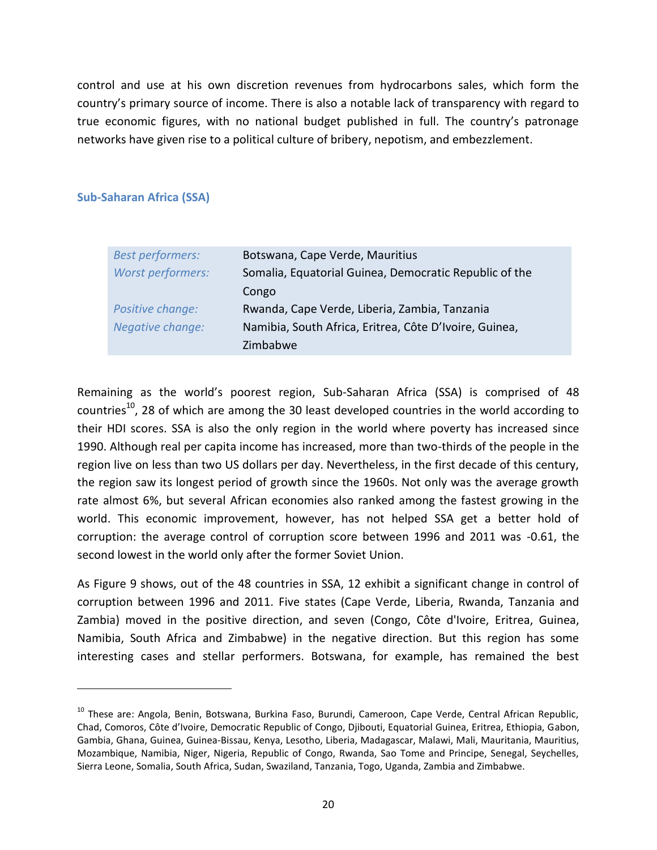control and use at his own discretion revenues from hydrocarbons sales, which form the country's primary source of income. There is also a notable lack of transparency with regard to true economic figures, with no national budget published in full. The country's patronage networks have given rise to a political culture of bribery, nepotism, and embezzlement.

### **Sub-Saharan Africa (SSA)**

 $\overline{\phantom{a}}$ 

| <b>Best performers:</b> | Botswana, Cape Verde, Mauritius                        |
|-------------------------|--------------------------------------------------------|
| Worst performers:       | Somalia, Equatorial Guinea, Democratic Republic of the |
|                         | Congo                                                  |
| Positive change:        | Rwanda, Cape Verde, Liberia, Zambia, Tanzania          |
| Negative change:        | Namibia, South Africa, Eritrea, Côte D'Ivoire, Guinea, |
|                         | Zimbabwe                                               |

Remaining as the world's poorest region, Sub-Saharan Africa (SSA) is comprised of 48 countries<sup>10</sup>. 28 of which are among the 30 least developed countries in the world according to their HDI scores. SSA is also the only region in the world where poverty has increased since 1990. Although real per capita income has increased, more than two-thirds of the people in the region live on less than two US dollars per day. Nevertheless, in the first decade of this century, the region saw its longest period of growth since the 1960s. Not only was the average growth rate almost 6%, but several African economies also ranked among the fastest growing in the world. This economic improvement, however, has not helped SSA get a better hold of corruption: the average control of corruption score between 1996 and 2011 was -0.61, the second lowest in the world only after the former Soviet Union.

As [Figure 9](#page-22-0) shows, out of the 48 countries in SSA, 12 exhibit a significant change in control of corruption between 1996 and 2011. Five states (Cape Verde, Liberia, Rwanda, Tanzania and Zambia) moved in the positive direction, and seven (Congo, Côte d'Ivoire, Eritrea, Guinea, Namibia, South Africa and Zimbabwe) in the negative direction. But this region has some interesting cases and stellar performers. Botswana, for example, has remained the best

<sup>&</sup>lt;sup>10</sup> These are: Angola, Benin, Botswana, Burkina Faso, Burundi, Cameroon, Cape Verde, Central African Republic, Chad, Comoros, Côte d'Ivoire, Democratic Republic of Congo, Djibouti, Equatorial Guinea, Eritrea, Ethiopia, Gabon, Gambia, Ghana, Guinea, Guinea-Bissau, Kenya, Lesotho, Liberia, Madagascar, Malawi, Mali, Mauritania, Mauritius, Mozambique, Namibia, Niger, Nigeria, Republic of Congo, Rwanda, Sao Tome and Principe, Senegal, Seychelles, Sierra Leone, Somalia, South Africa, Sudan, Swaziland, Tanzania, Togo, Uganda, Zambia and Zimbabwe.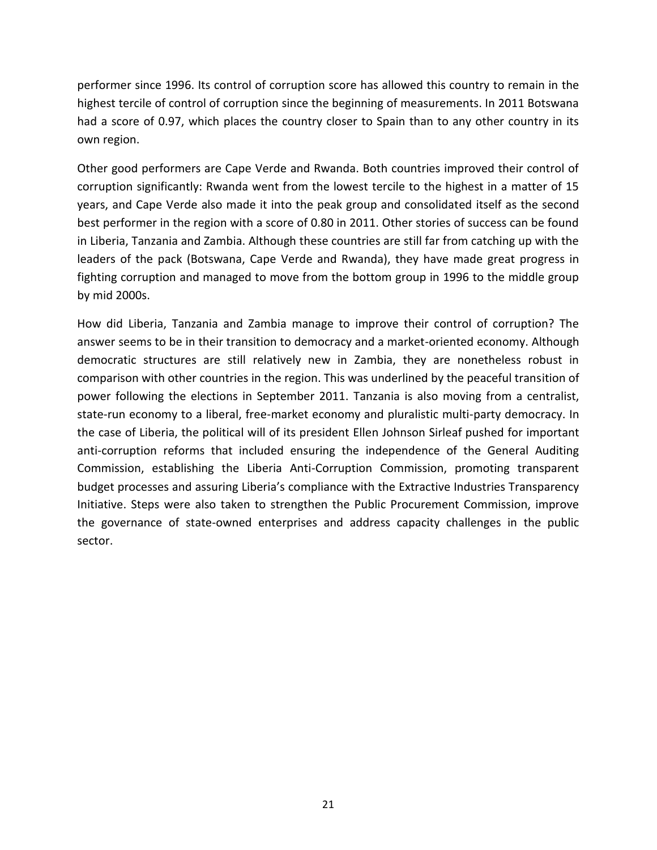performer since 1996. Its control of corruption score has allowed this country to remain in the highest tercile of control of corruption since the beginning of measurements. In 2011 Botswana had a score of 0.97, which places the country closer to Spain than to any other country in its own region.

Other good performers are Cape Verde and Rwanda. Both countries improved their control of corruption significantly: Rwanda went from the lowest tercile to the highest in a matter of 15 years, and Cape Verde also made it into the peak group and consolidated itself as the second best performer in the region with a score of 0.80 in 2011. Other stories of success can be found in Liberia, Tanzania and Zambia. Although these countries are still far from catching up with the leaders of the pack (Botswana, Cape Verde and Rwanda), they have made great progress in fighting corruption and managed to move from the bottom group in 1996 to the middle group by mid 2000s.

How did Liberia, Tanzania and Zambia manage to improve their control of corruption? The answer seems to be in their transition to democracy and a market-oriented economy. Although democratic structures are still relatively new in Zambia, they are nonetheless robust in comparison with other countries in the region. This was underlined by the peaceful transition of power following the elections in September 2011. Tanzania is also moving from a centralist, state-run economy to a liberal, free-market economy and pluralistic multi-party democracy. In the case of Liberia, the political will of its president Ellen Johnson Sirleaf pushed for important anti-corruption reforms that included ensuring the independence of the General Auditing Commission, establishing the Liberia Anti-Corruption Commission, promoting transparent budget processes and assuring Liberia's compliance with the Extractive Industries Transparency Initiative. Steps were also taken to strengthen the Public Procurement Commission, improve the governance of state-owned enterprises and address capacity challenges in the public sector.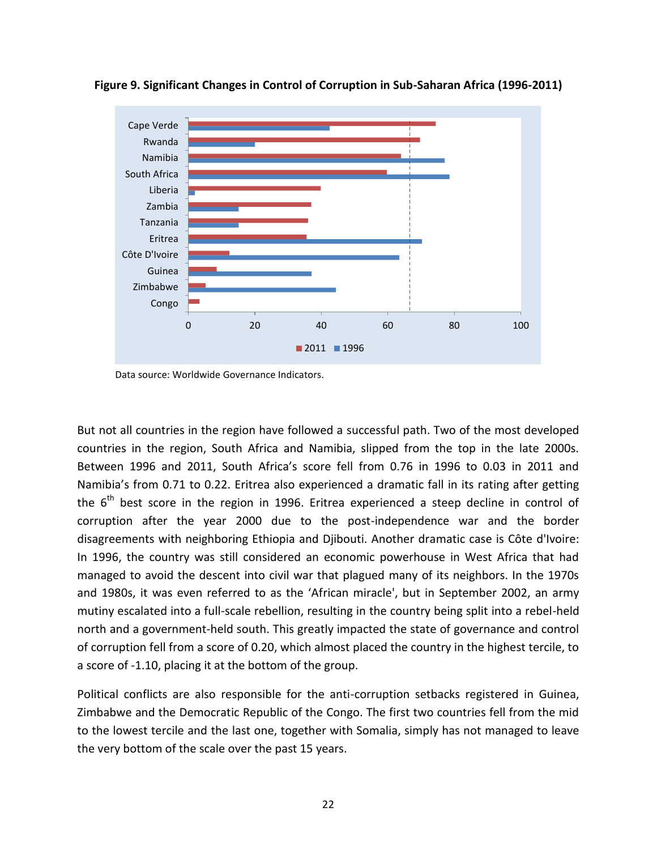

<span id="page-22-0"></span>**Figure 9. Significant Changes in Control of Corruption in Sub-Saharan Africa (1996-2011)**

Data source: Worldwide Governance Indicators.

But not all countries in the region have followed a successful path. Two of the most developed countries in the region, South Africa and Namibia, slipped from the top in the late 2000s. Between 1996 and 2011, South Africa's score fell from 0.76 in 1996 to 0.03 in 2011 and Namibia's from 0.71 to 0.22. Eritrea also experienced a dramatic fall in its rating after getting the  $6<sup>th</sup>$  best score in the region in 1996. Eritrea experienced a steep decline in control of corruption after the year 2000 due to the post-independence war and the border disagreements with neighboring Ethiopia and Djibouti. Another dramatic case is Côte d'Ivoire: In 1996, the country was still considered an economic powerhouse in West Africa that had managed to avoid the descent into civil war that plagued many of its neighbors. In the 1970s and 1980s, it was even referred to as the 'African miracle', but in September 2002, an army mutiny escalated into a full-scale rebellion, resulting in the country being split into a rebel-held north and a government-held south. This greatly impacted the state of governance and control of corruption fell from a score of 0.20, which almost placed the country in the highest tercile, to a score of -1.10, placing it at the bottom of the group.

Political conflicts are also responsible for the anti-corruption setbacks registered in Guinea, Zimbabwe and the Democratic Republic of the Congo. The first two countries fell from the mid to the lowest tercile and the last one, together with Somalia, simply has not managed to leave the very bottom of the scale over the past 15 years.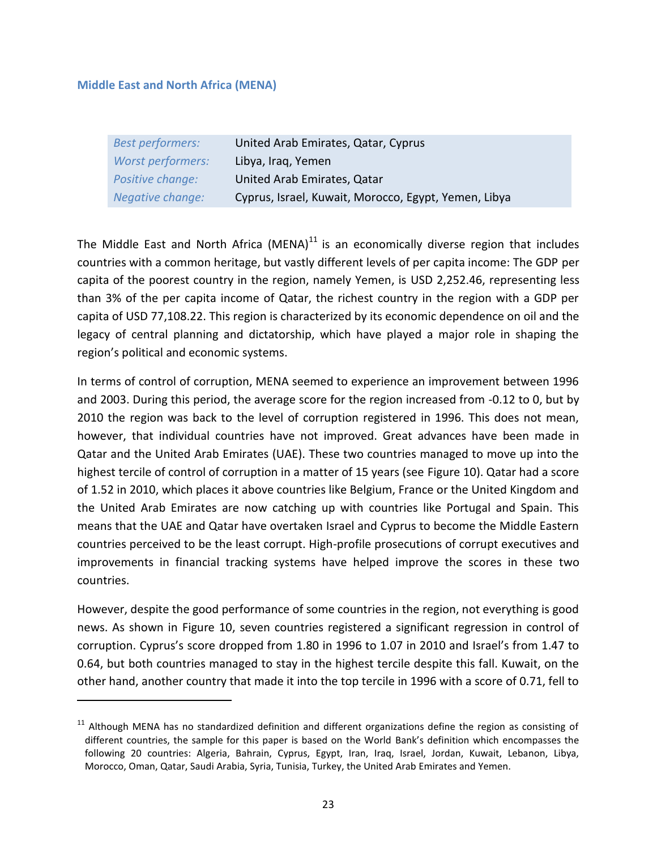#### **Middle East and North Africa (MENA)**

 $\overline{a}$ 

| <b>Best performers:</b> | United Arab Emirates, Qatar, Cyprus                  |
|-------------------------|------------------------------------------------------|
| Worst performers:       | Libya, Iraq, Yemen                                   |
| Positive change:        | United Arab Emirates, Qatar                          |
| Negative change:        | Cyprus, Israel, Kuwait, Morocco, Egypt, Yemen, Libya |

The Middle East and North Africa (MENA) $<sup>11</sup>$  is an economically diverse region that includes</sup> countries with a common heritage, but vastly different levels of per capita income: The GDP per capita of the poorest country in the region, namely Yemen, is USD 2,252.46, representing less than 3% of the per capita income of Qatar, the richest country in the region with a GDP per capita of USD 77,108.22. This region is characterized by its economic dependence on oil and the legacy of central planning and dictatorship, which have played a major role in shaping the region's political and economic systems.

In terms of control of corruption, MENA seemed to experience an improvement between 1996 and 2003. During this period, the average score for the region increased from -0.12 to 0, but by 2010 the region was back to the level of corruption registered in 1996. This does not mean, however, that individual countries have not improved. Great advances have been made in Qatar and the United Arab Emirates (UAE). These two countries managed to move up into the highest tercile of control of corruption in a matter of 15 years (see [Figure 10\)](#page-24-0). Qatar had a score of 1.52 in 2010, which places it above countries like Belgium, France or the United Kingdom and the United Arab Emirates are now catching up with countries like Portugal and Spain. This means that the UAE and Qatar have overtaken Israel and Cyprus to become the Middle Eastern countries perceived to be the least corrupt. High-profile prosecutions of corrupt executives and improvements in financial tracking systems have helped improve the scores in these two countries.

However, despite the good performance of some countries in the region, not everything is good news. As shown in [Figure 10,](#page-24-0) seven countries registered a significant regression in control of corruption. Cyprus's score dropped from 1.80 in 1996 to 1.07 in 2010 and Israel's from 1.47 to 0.64, but both countries managed to stay in the highest tercile despite this fall. Kuwait, on the other hand, another country that made it into the top tercile in 1996 with a score of 0.71, fell to

<sup>&</sup>lt;sup>11</sup> Although MENA has no standardized definition and different organizations define the region as consisting of different countries, the sample for this paper is based on the World Bank's definition which encompasses the following 20 countries: Algeria, Bahrain, Cyprus, Egypt, Iran, Iraq, Israel, Jordan, Kuwait, Lebanon, Libya, Morocco, Oman, Qatar, Saudi Arabia, Syria, Tunisia, Turkey, the United Arab Emirates and Yemen.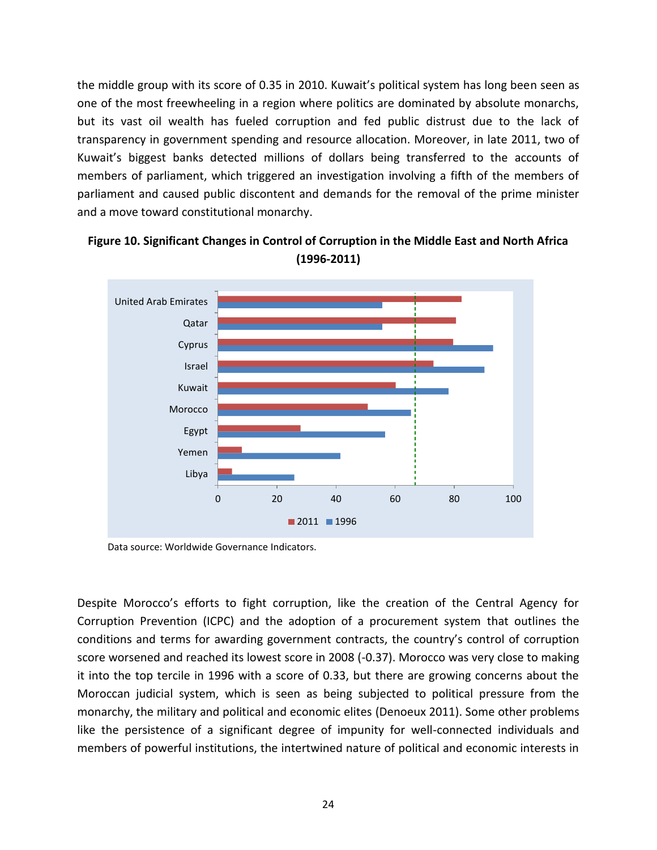the middle group with its score of 0.35 in 2010. Kuwait's political system has long been seen as one of the most freewheeling in a region where politics are dominated by absolute monarchs, but its vast oil wealth has fueled corruption and fed public distrust due to the lack of transparency in government spending and resource allocation. Moreover, in late 2011, two of Kuwait's biggest banks detected millions of dollars being transferred to the accounts of members of parliament, which triggered an investigation involving a fifth of the members of parliament and caused public discontent and demands for the removal of the prime minister and a move toward constitutional monarchy.



<span id="page-24-0"></span>**Figure 10. Significant Changes in Control of Corruption in the Middle East and North Africa (1996-2011)**

Data source: Worldwide Governance Indicators.

Despite Morocco's efforts to fight corruption, like the creation of the Central Agency for Corruption Prevention (ICPC) and the adoption of a procurement system that outlines the conditions and terms for awarding government contracts, the country's control of corruption score worsened and reached its lowest score in 2008 (-0.37). Morocco was very close to making it into the top tercile in 1996 with a score of 0.33, but there are growing concerns about the Moroccan judicial system, which is seen as being subjected to political pressure from the monarchy, the military and political and economic elites (Denoeux 2011). Some other problems like the persistence of a significant degree of impunity for well-connected individuals and members of powerful institutions, the intertwined nature of political and economic interests in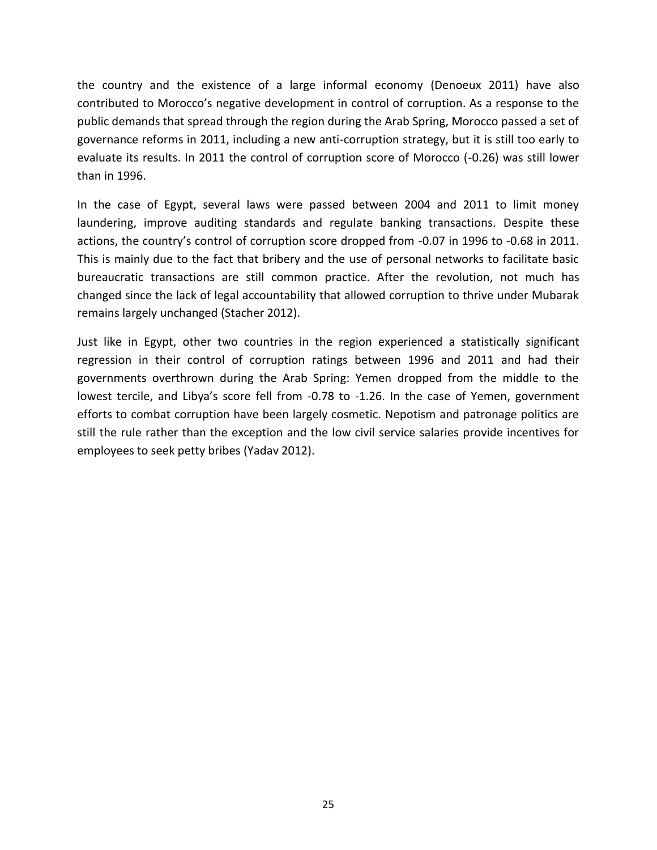the country and the existence of a large informal economy (Denoeux 2011) have also contributed to Morocco's negative development in control of corruption. As a response to the public demands that spread through the region during the Arab Spring, Morocco passed a set of governance reforms in 2011, including a new anti-corruption strategy, but it is still too early to evaluate its results. In 2011 the control of corruption score of Morocco (-0.26) was still lower than in 1996.

In the case of Egypt, several laws were passed between 2004 and 2011 to limit money laundering, improve auditing standards and regulate banking transactions. Despite these actions, the country's control of corruption score dropped from -0.07 in 1996 to -0.68 in 2011. This is mainly due to the fact that bribery and the use of personal networks to facilitate basic bureaucratic transactions are still common practice. After the revolution, not much has changed since the lack of legal accountability that allowed corruption to thrive under Mubarak remains largely unchanged (Stacher 2012).

Just like in Egypt, other two countries in the region experienced a statistically significant regression in their control of corruption ratings between 1996 and 2011 and had their governments overthrown during the Arab Spring: Yemen dropped from the middle to the lowest tercile, and Libya's score fell from -0.78 to -1.26. In the case of Yemen, government efforts to combat corruption have been largely cosmetic. Nepotism and patronage politics are still the rule rather than the exception and the low civil service salaries provide incentives for employees to seek petty bribes (Yadav 2012).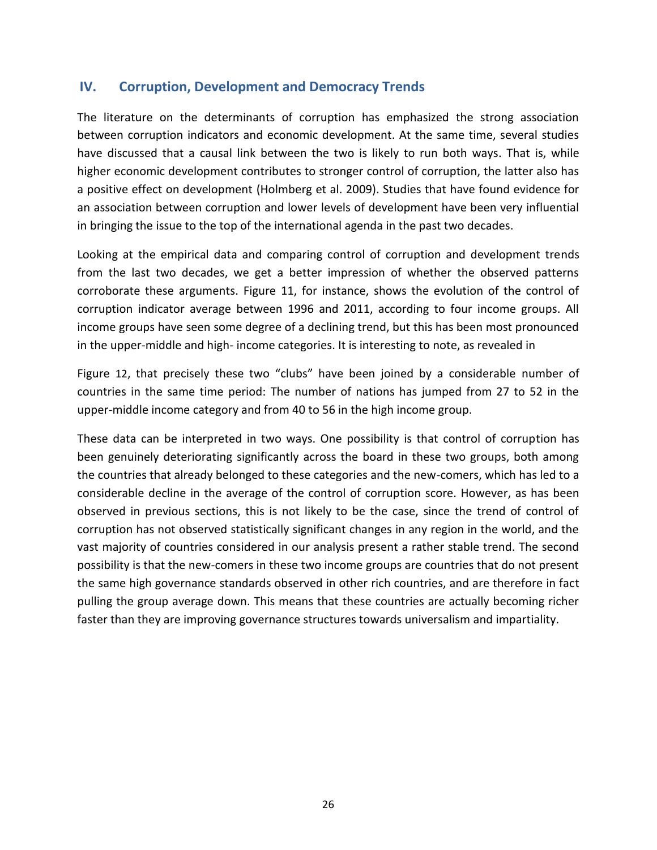# **IV. Corruption, Development and Democracy Trends**

The literature on the determinants of corruption has emphasized the strong association between corruption indicators and economic development. At the same time, several studies have discussed that a causal link between the two is likely to run both ways. That is, while higher economic development contributes to stronger control of corruption, the latter also has a positive effect on development (Holmberg et al. 2009). Studies that have found evidence for an association between corruption and lower levels of development have been very influential in bringing the issue to the top of the international agenda in the past two decades.

Looking at the empirical data and comparing control of corruption and development trends from the last two decades, we get a better impression of whether the observed patterns corroborate these arguments. [Figure 11,](#page-27-0) for instance, shows the evolution of the control of corruption indicator average between 1996 and 2011, according to four income groups. All income groups have seen some degree of a declining trend, but this has been most pronounced in the upper-middle and high- income categories. It is interesting to note, as revealed in

[Figure](#page-27-1) 12, that precisely these two "clubs" have been joined by a considerable number of countries in the same time period: The number of nations has jumped from 27 to 52 in the upper-middle income category and from 40 to 56 in the high income group.

These data can be interpreted in two ways. One possibility is that control of corruption has been genuinely deteriorating significantly across the board in these two groups, both among the countries that already belonged to these categories and the new-comers, which has led to a considerable decline in the average of the control of corruption score. However, as has been observed in previous sections, this is not likely to be the case, since the trend of control of corruption has not observed statistically significant changes in any region in the world, and the vast majority of countries considered in our analysis present a rather stable trend. The second possibility is that the new-comers in these two income groups are countries that do not present the same high governance standards observed in other rich countries, and are therefore in fact pulling the group average down. This means that these countries are actually becoming richer faster than they are improving governance structures towards universalism and impartiality.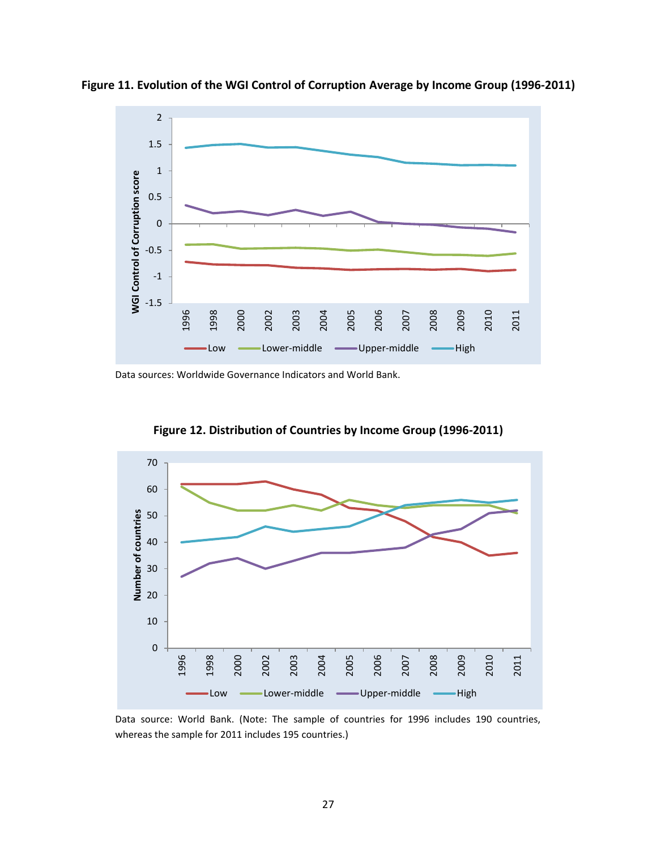

<span id="page-27-0"></span>**Figure 11. Evolution of the WGI Control of Corruption Average by Income Group (1996-2011)**

<span id="page-27-1"></span>Data sources: Worldwide Governance Indicators and World Bank.



**Figure 12. Distribution of Countries by Income Group (1996-2011)**

Data source: World Bank. (Note: The sample of countries for 1996 includes 190 countries, whereas the sample for 2011 includes 195 countries.)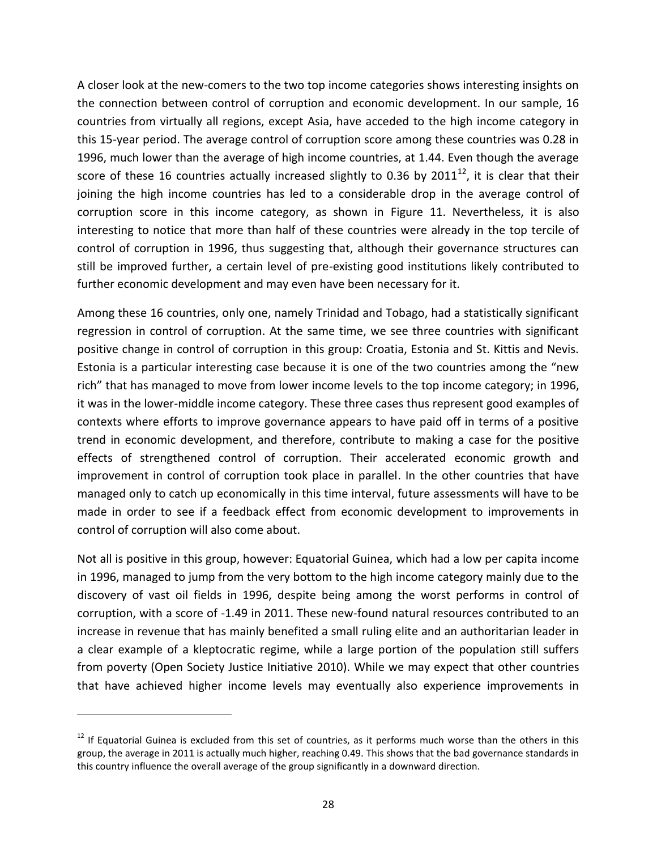A closer look at the new-comers to the two top income categories shows interesting insights on the connection between control of corruption and economic development. In our sample, 16 countries from virtually all regions, except Asia, have acceded to the high income category in this 15-year period. The average control of corruption score among these countries was 0.28 in 1996, much lower than the average of high income countries, at 1.44. Even though the average score of these 16 countries actually increased slightly to 0.36 by 2011 $^{12}$ , it is clear that their joining the high income countries has led to a considerable drop in the average control of corruption score in this income category, as shown in [Figure 11.](#page-27-0) Nevertheless, it is also interesting to notice that more than half of these countries were already in the top tercile of control of corruption in 1996, thus suggesting that, although their governance structures can still be improved further, a certain level of pre-existing good institutions likely contributed to further economic development and may even have been necessary for it.

Among these 16 countries, only one, namely Trinidad and Tobago, had a statistically significant regression in control of corruption. At the same time, we see three countries with significant positive change in control of corruption in this group: Croatia, Estonia and St. Kittis and Nevis. Estonia is a particular interesting case because it is one of the two countries among the "new rich" that has managed to move from lower income levels to the top income category; in 1996, it was in the lower-middle income category. These three cases thus represent good examples of contexts where efforts to improve governance appears to have paid off in terms of a positive trend in economic development, and therefore, contribute to making a case for the positive effects of strengthened control of corruption. Their accelerated economic growth and improvement in control of corruption took place in parallel. In the other countries that have managed only to catch up economically in this time interval, future assessments will have to be made in order to see if a feedback effect from economic development to improvements in control of corruption will also come about.

Not all is positive in this group, however: Equatorial Guinea, which had a low per capita income in 1996, managed to jump from the very bottom to the high income category mainly due to the discovery of vast oil fields in 1996, despite being among the worst performs in control of corruption, with a score of -1.49 in 2011. These new-found natural resources contributed to an increase in revenue that has mainly benefited a small ruling elite and an authoritarian leader in a clear example of a kleptocratic regime, while a large portion of the population still suffers from poverty (Open Society Justice Initiative 2010). While we may expect that other countries that have achieved higher income levels may eventually also experience improvements in

 $\overline{a}$ 

 $12$  If Equatorial Guinea is excluded from this set of countries, as it performs much worse than the others in this group, the average in 2011 is actually much higher, reaching 0.49. This shows that the bad governance standards in this country influence the overall average of the group significantly in a downward direction.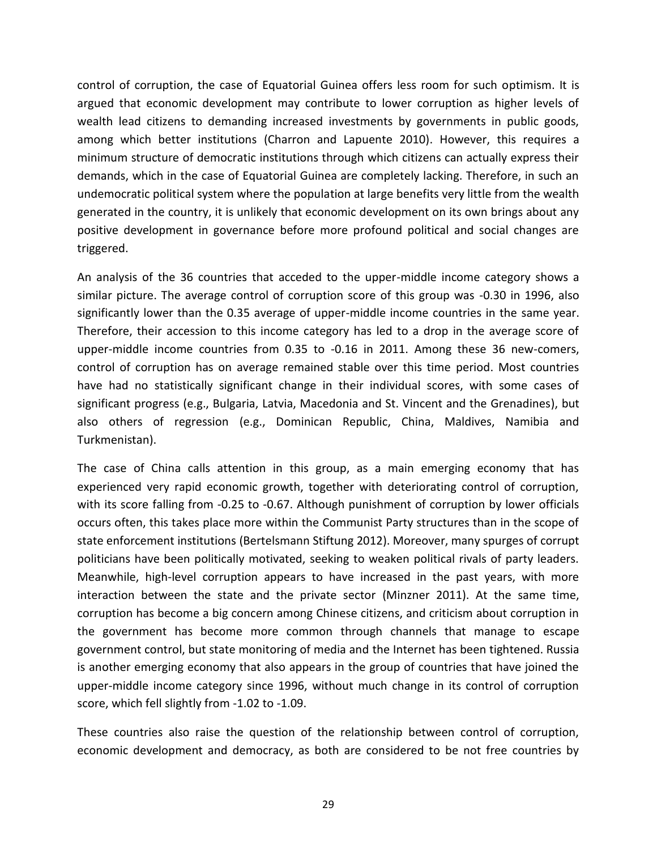control of corruption, the case of Equatorial Guinea offers less room for such optimism. It is argued that economic development may contribute to lower corruption as higher levels of wealth lead citizens to demanding increased investments by governments in public goods, among which better institutions (Charron and Lapuente 2010). However, this requires a minimum structure of democratic institutions through which citizens can actually express their demands, which in the case of Equatorial Guinea are completely lacking. Therefore, in such an undemocratic political system where the population at large benefits very little from the wealth generated in the country, it is unlikely that economic development on its own brings about any positive development in governance before more profound political and social changes are triggered.

An analysis of the 36 countries that acceded to the upper-middle income category shows a similar picture. The average control of corruption score of this group was -0.30 in 1996, also significantly lower than the 0.35 average of upper-middle income countries in the same year. Therefore, their accession to this income category has led to a drop in the average score of upper-middle income countries from 0.35 to -0.16 in 2011. Among these 36 new-comers, control of corruption has on average remained stable over this time period. Most countries have had no statistically significant change in their individual scores, with some cases of significant progress (e.g., Bulgaria, Latvia, Macedonia and St. Vincent and the Grenadines), but also others of regression (e.g., Dominican Republic, China, Maldives, Namibia and Turkmenistan).

The case of China calls attention in this group, as a main emerging economy that has experienced very rapid economic growth, together with deteriorating control of corruption, with its score falling from -0.25 to -0.67. Although punishment of corruption by lower officials occurs often, this takes place more within the Communist Party structures than in the scope of state enforcement institutions (Bertelsmann Stiftung 2012). Moreover, many spurges of corrupt politicians have been politically motivated, seeking to weaken political rivals of party leaders. Meanwhile, high-level corruption appears to have increased in the past years, with more interaction between the state and the private sector (Minzner 2011). At the same time, corruption has become a big concern among Chinese citizens, and criticism about corruption in the government has become more common through channels that manage to escape government control, but state monitoring of media and the Internet has been tightened. Russia is another emerging economy that also appears in the group of countries that have joined the upper-middle income category since 1996, without much change in its control of corruption score, which fell slightly from -1.02 to -1.09.

These countries also raise the question of the relationship between control of corruption, economic development and democracy, as both are considered to be not free countries by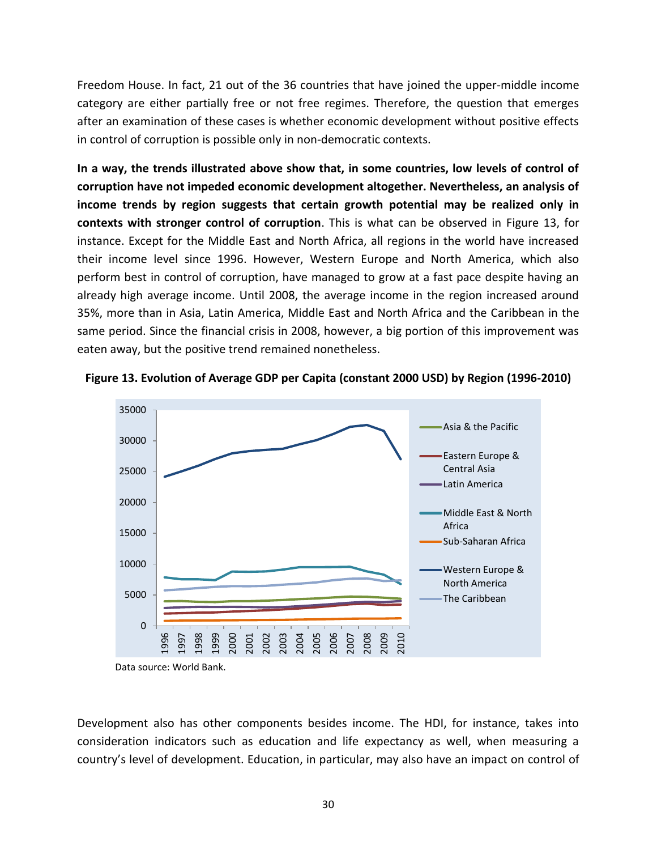Freedom House. In fact, 21 out of the 36 countries that have joined the upper-middle income category are either partially free or not free regimes. Therefore, the question that emerges after an examination of these cases is whether economic development without positive effects in control of corruption is possible only in non-democratic contexts.

**In a way, the trends illustrated above show that, in some countries, low levels of control of corruption have not impeded economic development altogether. Nevertheless, an analysis of income trends by region suggests that certain growth potential may be realized only in contexts with stronger control of corruption**. This is what can be observed in [Figure 13,](#page-30-0) for instance. Except for the Middle East and North Africa, all regions in the world have increased their income level since 1996. However, Western Europe and North America, which also perform best in control of corruption, have managed to grow at a fast pace despite having an already high average income. Until 2008, the average income in the region increased around 35%, more than in Asia, Latin America, Middle East and North Africa and the Caribbean in the same period. Since the financial crisis in 2008, however, a big portion of this improvement was eaten away, but the positive trend remained nonetheless.



<span id="page-30-0"></span>**Figure 13. Evolution of Average GDP per Capita (constant 2000 USD) by Region (1996-2010)**

Development also has other components besides income. The HDI, for instance, takes into consideration indicators such as education and life expectancy as well, when measuring a country's level of development. Education, in particular, may also have an impact on control of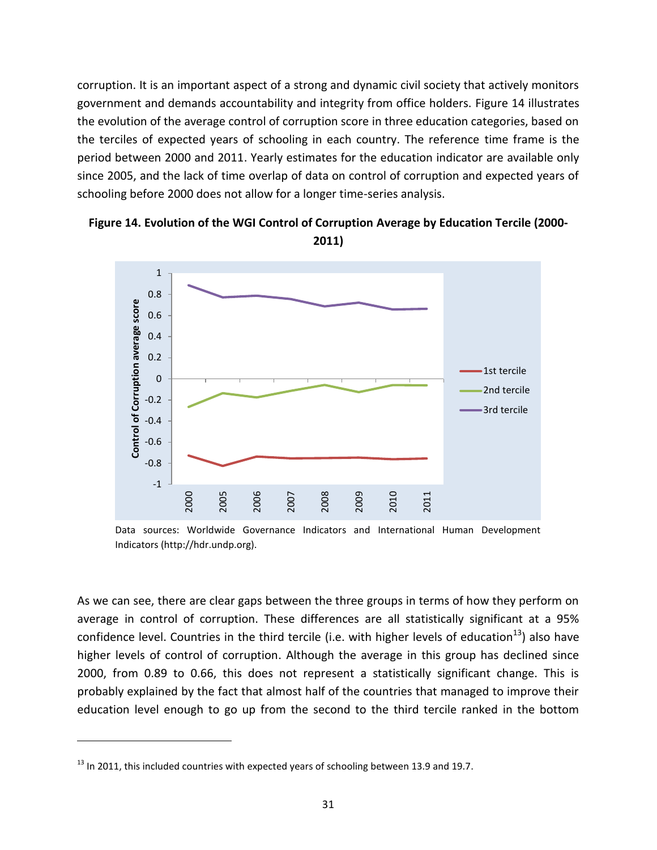corruption. It is an important aspect of a strong and dynamic civil society that actively monitors government and demands accountability and integrity from office holders. [Figure 14](#page-31-0) illustrates the evolution of the average control of corruption score in three education categories, based on the terciles of expected years of schooling in each country. The reference time frame is the period between 2000 and 2011. Yearly estimates for the education indicator are available only since 2005, and the lack of time overlap of data on control of corruption and expected years of schooling before 2000 does not allow for a longer time-series analysis.



<span id="page-31-0"></span>**Figure 14. Evolution of the WGI Control of Corruption Average by Education Tercile (2000- 2011)**

Data sources: Worldwide Governance Indicators and International Human Development Indicators (http://hdr.undp.org).

As we can see, there are clear gaps between the three groups in terms of how they perform on average in control of corruption. These differences are all statistically significant at a 95% confidence level. Countries in the third tercile (i.e. with higher levels of education<sup>13</sup>) also have higher levels of control of corruption. Although the average in this group has declined since 2000, from 0.89 to 0.66, this does not represent a statistically significant change. This is probably explained by the fact that almost half of the countries that managed to improve their education level enough to go up from the second to the third tercile ranked in the bottom

 $\overline{\phantom{a}}$ 

 $^{13}$  In 2011, this included countries with expected years of schooling between 13.9 and 19.7.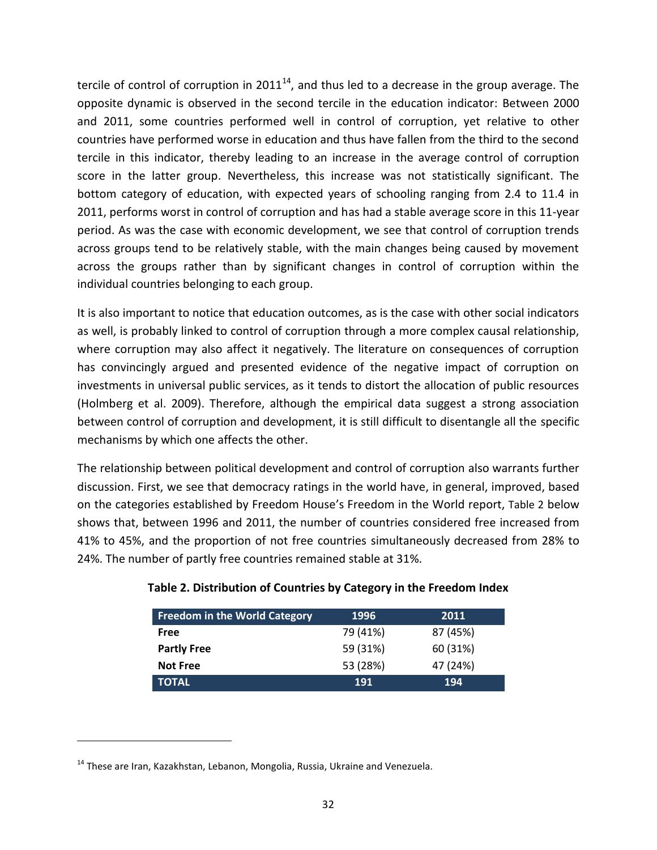tercile of control of corruption in  $2011^{14}$ , and thus led to a decrease in the group average. The opposite dynamic is observed in the second tercile in the education indicator: Between 2000 and 2011, some countries performed well in control of corruption, yet relative to other countries have performed worse in education and thus have fallen from the third to the second tercile in this indicator, thereby leading to an increase in the average control of corruption score in the latter group. Nevertheless, this increase was not statistically significant. The bottom category of education, with expected years of schooling ranging from 2.4 to 11.4 in 2011, performs worst in control of corruption and has had a stable average score in this 11-year period. As was the case with economic development, we see that control of corruption trends across groups tend to be relatively stable, with the main changes being caused by movement across the groups rather than by significant changes in control of corruption within the individual countries belonging to each group.

It is also important to notice that education outcomes, as is the case with other social indicators as well, is probably linked to control of corruption through a more complex causal relationship, where corruption may also affect it negatively. The literature on consequences of corruption has convincingly argued and presented evidence of the negative impact of corruption on investments in universal public services, as it tends to distort the allocation of public resources (Holmberg et al. 2009). Therefore, although the empirical data suggest a strong association between control of corruption and development, it is still difficult to disentangle all the specific mechanisms by which one affects the other.

The relationship between political development and control of corruption also warrants further discussion. First, we see that democracy ratings in the world have, in general, improved, based on the categories established by Freedom House's Freedom in the World report, [Table 2](#page-32-0) below shows that, between 1996 and 2011, the number of countries considered free increased from 41% to 45%, and the proportion of not free countries simultaneously decreased from 28% to 24%. The number of partly free countries remained stable at 31%.

| <b>Freedom in the World Category</b> | 1996     | 2011     |
|--------------------------------------|----------|----------|
| Free                                 | 79 (41%) | 87 (45%) |
| <b>Partly Free</b>                   | 59 (31%) | 60 (31%) |
| <b>Not Free</b>                      | 53 (28%) | 47 (24%) |
| <b>TOTAL</b>                         | 191      | 194      |

## <span id="page-32-0"></span>**Table 2. Distribution of Countries by Category in the Freedom Index**

 $\overline{\phantom{a}}$ 

 $14$  These are Iran, Kazakhstan, Lebanon, Mongolia, Russia, Ukraine and Venezuela.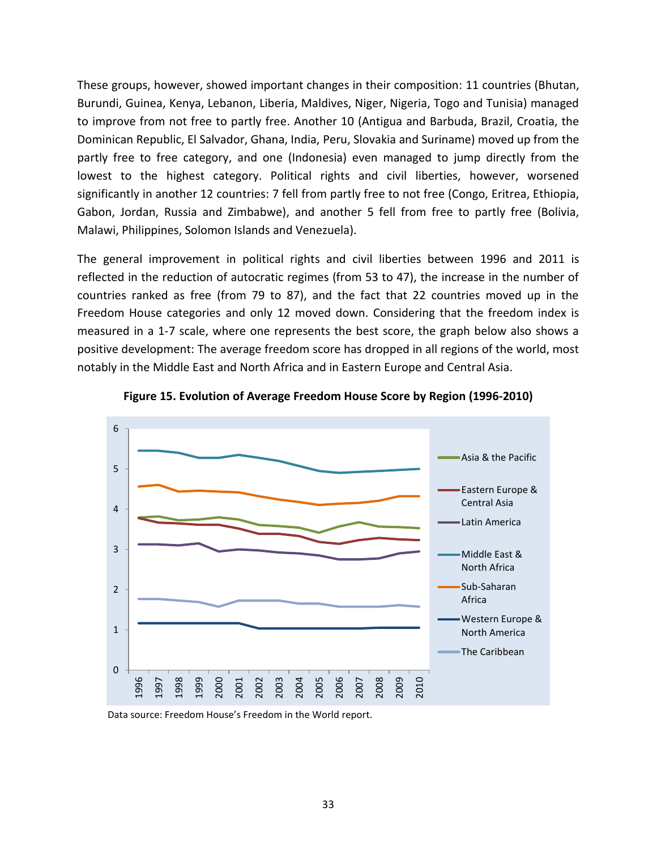These groups, however, showed important changes in their composition: 11 countries (Bhutan, Burundi, Guinea, Kenya, Lebanon, Liberia, Maldives, Niger, Nigeria, Togo and Tunisia) managed to improve from not free to partly free. Another 10 (Antigua and Barbuda, Brazil, Croatia, the Dominican Republic, El Salvador, Ghana, India, Peru, Slovakia and Suriname) moved up from the partly free to free category, and one (Indonesia) even managed to jump directly from the lowest to the highest category. Political rights and civil liberties, however, worsened significantly in another 12 countries: 7 fell from partly free to not free (Congo, Eritrea, Ethiopia, Gabon, Jordan, Russia and Zimbabwe), and another 5 fell from free to partly free (Bolivia, Malawi, Philippines, Solomon Islands and Venezuela).

The general improvement in political rights and civil liberties between 1996 and 2011 is reflected in the reduction of autocratic regimes (from 53 to 47), the increase in the number of countries ranked as free (from 79 to 87), and the fact that 22 countries moved up in the Freedom House categories and only 12 moved down. Considering that the freedom index is measured in a 1-7 scale, where one represents the best score, the graph below also shows a positive development: The average freedom score has dropped in all regions of the world, most notably in the Middle East and North Africa and in Eastern Europe and Central Asia.





Data source: Freedom House's Freedom in the World report.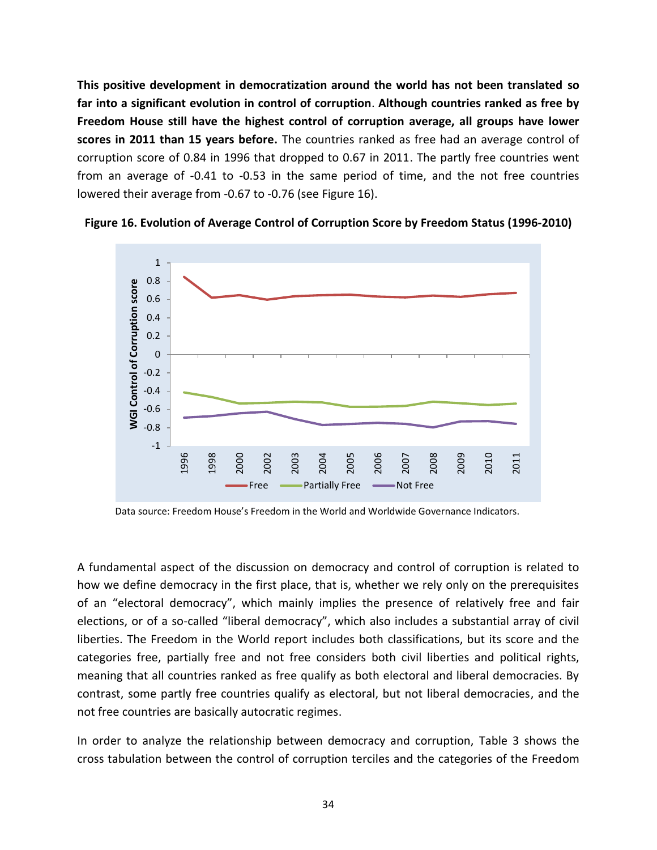**This positive development in democratization around the world has not been translated so far into a significant evolution in control of corruption**. **Although countries ranked as free by Freedom House still have the highest control of corruption average, all groups have lower scores in 2011 than 15 years before.** The countries ranked as free had an average control of corruption score of 0.84 in 1996 that dropped to 0.67 in 2011. The partly free countries went from an average of -0.41 to -0.53 in the same period of time, and the not free countries lowered their average from -0.67 to -0.76 (see [Figure 16\)](#page-34-0).



<span id="page-34-0"></span>

Data source: Freedom House's Freedom in the World and Worldwide Governance Indicators.

A fundamental aspect of the discussion on democracy and control of corruption is related to how we define democracy in the first place, that is, whether we rely only on the prerequisites of an "electoral democracy", which mainly implies the presence of relatively free and fair elections, or of a so-called "liberal democracy", which also includes a substantial array of civil liberties. The Freedom in the World report includes both classifications, but its score and the categories free, partially free and not free considers both civil liberties and political rights, meaning that all countries ranked as free qualify as both electoral and liberal democracies. By contrast, some partly free countries qualify as electoral, but not liberal democracies, and the not free countries are basically autocratic regimes.

In order to analyze the relationship between democracy and corruption, [Table 3](#page-35-0) shows the cross tabulation between the control of corruption terciles and the categories of the Freedom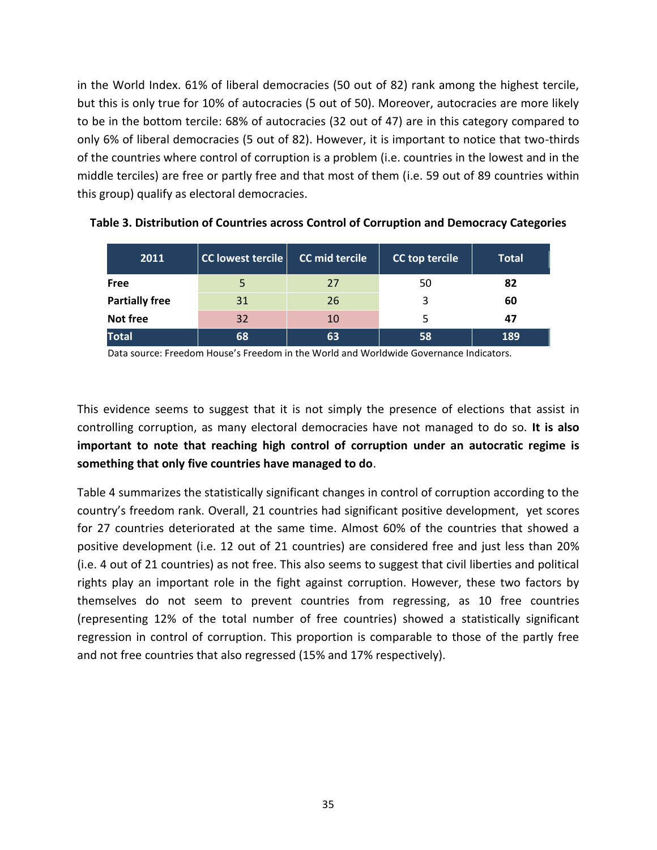in the World Index. 61% of liberal democracies (50 out of 82) rank among the highest tercile, but this is only true for 10% of autocracies (5 out of 50). Moreover, autocracies are more likely to be in the bottom tercile: 68% of autocracies (32 out of 47) are in this category compared to only 6% of liberal democracies (5 out of 82). However, it is important to notice that two-thirds of the countries where control of corruption is a problem (i.e. countries in the lowest and in the middle terciles) are free or partly free and that most of them (i.e. 59 out of 89 countries within this group) qualify as electoral democracies.

| 2011                  | <b>CC lowest tercile</b> | CC mid tercile | CC top tercile | <b>Total</b> |
|-----------------------|--------------------------|----------------|----------------|--------------|
| Free                  |                          | 27             | 50             | 82           |
| <b>Partially free</b> | 31                       | 26             | 3              | 60           |
| Not free              | 32                       | 10             |                | 47           |
| <b>Total</b>          | 68                       | 63             | 58             | 189          |

<span id="page-35-0"></span>**Table 3. Distribution of Countries across Control of Corruption and Democracy Categories**

Data source: Freedom House's Freedom in the World and Worldwide Governance Indicators.

This evidence seems to suggest that it is not simply the presence of elections that assist in controlling corruption, as many electoral democracies have not managed to do so. **It is also important to note that reaching high control of corruption under an autocratic regime is something that only five countries have managed to do**.

[Table 4](#page-36-0) summarizes the statistically significant changes in control of corruption according to the country's freedom rank. Overall, 21 countries had significant positive development, yet scores for 27 countries deteriorated at the same time. Almost 60% of the countries that showed a positive development (i.e. 12 out of 21 countries) are considered free and just less than 20% (i.e. 4 out of 21 countries) as not free. This also seems to suggest that civil liberties and political rights play an important role in the fight against corruption. However, these two factors by themselves do not seem to prevent countries from regressing, as 10 free countries (representing 12% of the total number of free countries) showed a statistically significant regression in control of corruption. This proportion is comparable to those of the partly free and not free countries that also regressed (15% and 17% respectively).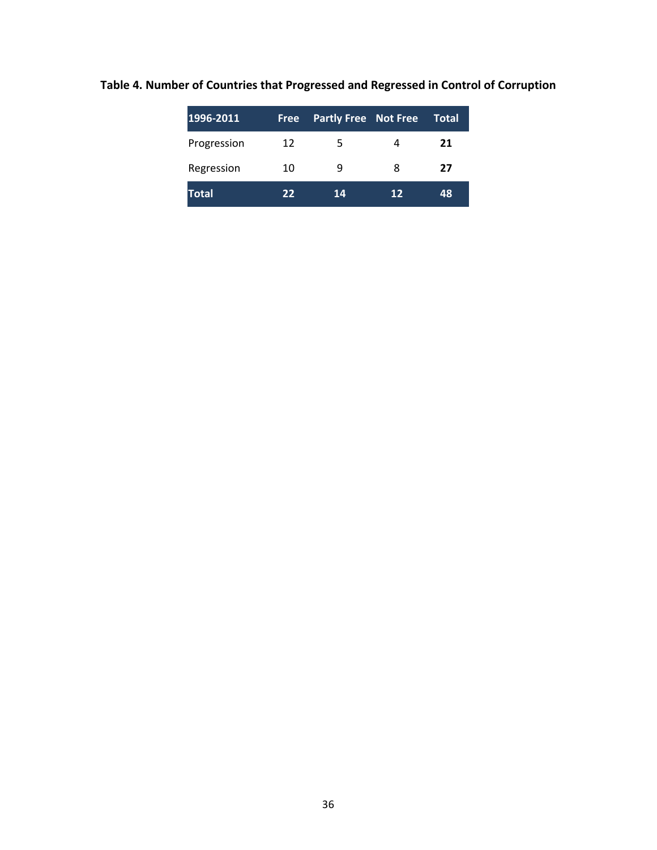| 1996-2011    | <b>Free</b> | <b>Partly Free Not Free</b> |    | <b>Total</b> |
|--------------|-------------|-----------------------------|----|--------------|
| Progression  | 12          | 5                           | 4  | 21           |
| Regression   | 10          | q                           | 8  | 27           |
| <b>Total</b> | 22          | 14                          | 12 | 48           |

<span id="page-36-0"></span>**Table 4. Number of Countries that Progressed and Regressed in Control of Corruption**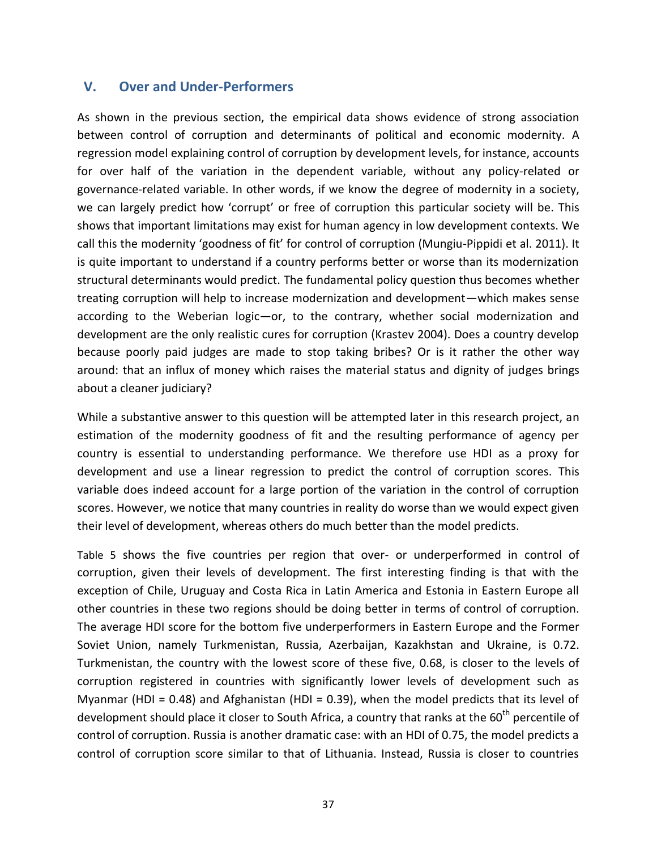## **V. Over and Under-Performers**

As shown in the previous section, the empirical data shows evidence of strong association between control of corruption and determinants of political and economic modernity. A regression model explaining control of corruption by development levels, for instance, accounts for over half of the variation in the dependent variable, without any policy-related or governance-related variable. In other words, if we know the degree of modernity in a society, we can largely predict how 'corrupt' or free of corruption this particular society will be. This shows that important limitations may exist for human agency in low development contexts. We call this the modernity 'goodness of fit' for control of corruption (Mungiu-Pippidi et al. 2011). It is quite important to understand if a country performs better or worse than its modernization structural determinants would predict. The fundamental policy question thus becomes whether treating corruption will help to increase modernization and development—which makes sense according to the Weberian logic—or, to the contrary, whether social modernization and development are the only realistic cures for corruption (Krastev 2004). Does a country develop because poorly paid judges are made to stop taking bribes? Or is it rather the other way around: that an influx of money which raises the material status and dignity of judges brings about a cleaner judiciary?

While a substantive answer to this question will be attempted later in this research project, an estimation of the modernity goodness of fit and the resulting performance of agency per country is essential to understanding performance. We therefore use HDI as a proxy for development and use a linear regression to predict the control of corruption scores. This variable does indeed account for a large portion of the variation in the control of corruption scores. However, we notice that many countries in reality do worse than we would expect given their level of development, whereas others do much better than the model predicts.

[Table 5](#page-39-0) shows the five countries per region that over- or underperformed in control of corruption, given their levels of development. The first interesting finding is that with the exception of Chile, Uruguay and Costa Rica in Latin America and Estonia in Eastern Europe all other countries in these two regions should be doing better in terms of control of corruption. The average HDI score for the bottom five underperformers in Eastern Europe and the Former Soviet Union, namely Turkmenistan, Russia, Azerbaijan, Kazakhstan and Ukraine, is 0.72. Turkmenistan, the country with the lowest score of these five, 0.68, is closer to the levels of corruption registered in countries with significantly lower levels of development such as Myanmar (HDI = 0.48) and Afghanistan (HDI = 0.39), when the model predicts that its level of development should place it closer to South Africa, a country that ranks at the  $60<sup>th</sup>$  percentile of control of corruption. Russia is another dramatic case: with an HDI of 0.75, the model predicts a control of corruption score similar to that of Lithuania. Instead, Russia is closer to countries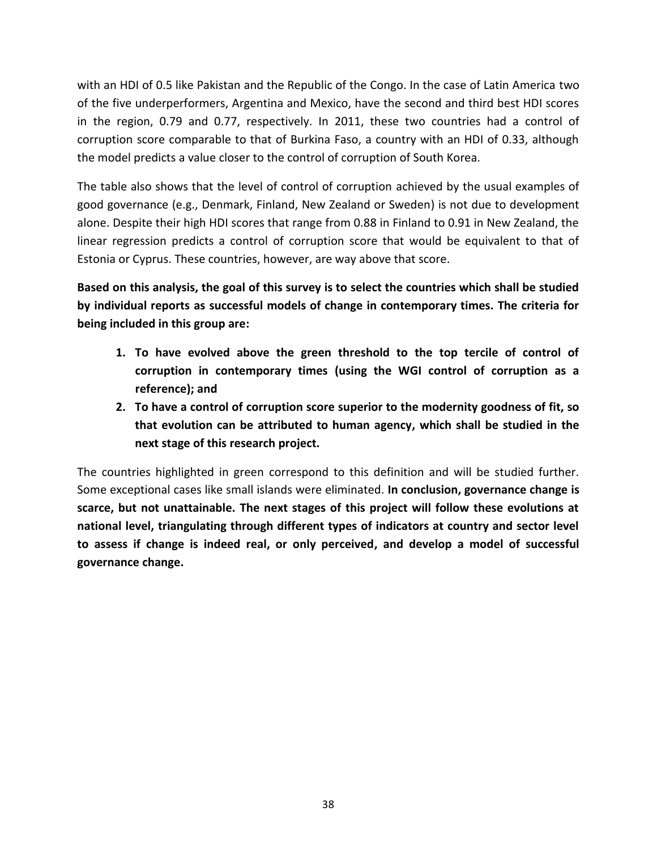with an HDI of 0.5 like Pakistan and the Republic of the Congo. In the case of Latin America two of the five underperformers, Argentina and Mexico, have the second and third best HDI scores in the region, 0.79 and 0.77, respectively. In 2011, these two countries had a control of corruption score comparable to that of Burkina Faso, a country with an HDI of 0.33, although the model predicts a value closer to the control of corruption of South Korea.

The table also shows that the level of control of corruption achieved by the usual examples of good governance (e.g., Denmark, Finland, New Zealand or Sweden) is not due to development alone. Despite their high HDI scores that range from 0.88 in Finland to 0.91 in New Zealand, the linear regression predicts a control of corruption score that would be equivalent to that of Estonia or Cyprus. These countries, however, are way above that score.

**Based on this analysis, the goal of this survey is to select the countries which shall be studied by individual reports as successful models of change in contemporary times. The criteria for being included in this group are:**

- **1. To have evolved above the green threshold to the top tercile of control of corruption in contemporary times (using the WGI control of corruption as a reference); and**
- **2. To have a control of corruption score superior to the modernity goodness of fit, so that evolution can be attributed to human agency, which shall be studied in the next stage of this research project.**

The countries highlighted in green correspond to this definition and will be studied further. Some exceptional cases like small islands were eliminated. **In conclusion, governance change is scarce, but not unattainable. The next stages of this project will follow these evolutions at national level, triangulating through different types of indicators at country and sector level to assess if change is indeed real, or only perceived, and develop a model of successful governance change.**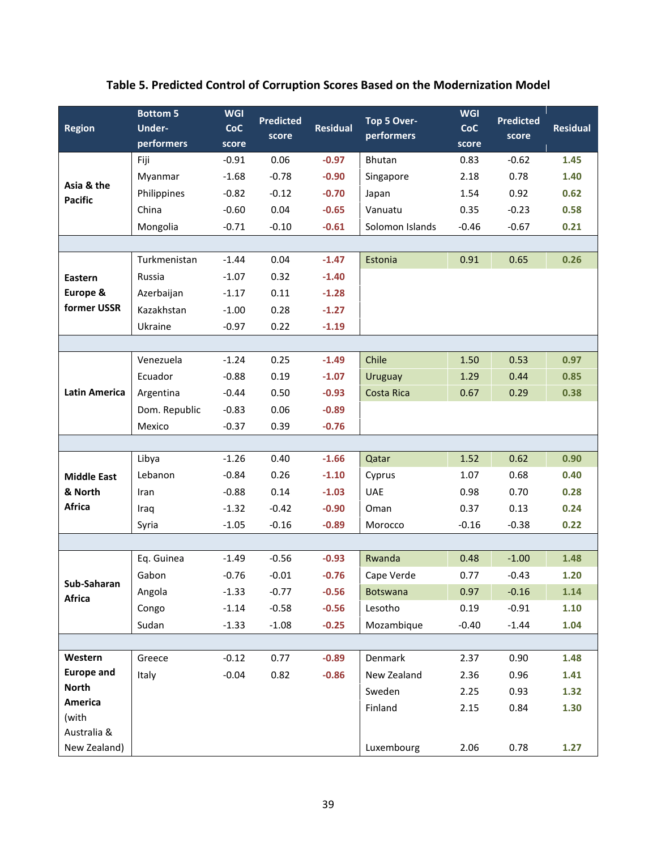# <span id="page-39-0"></span>**Table 5. Predicted Control of Corruption Scores Based on the Modernization Model**

| <b>Region</b>                | <b>Bottom 5</b><br><b>Under-</b><br>performers | <b>WGI</b><br><b>CoC</b><br>score | <b>Predicted</b><br>score | <b>Residual</b> | Top 5 Over-<br>performers | <b>WGI</b><br><b>CoC</b><br>score | <b>Predicted</b><br>score | <b>Residual</b> |
|------------------------------|------------------------------------------------|-----------------------------------|---------------------------|-----------------|---------------------------|-----------------------------------|---------------------------|-----------------|
| Asia & the<br><b>Pacific</b> | Fiji                                           | $-0.91$                           | 0.06                      | $-0.97$         | Bhutan                    | 0.83                              | $-0.62$                   | 1.45            |
|                              | Myanmar                                        | $-1.68$                           | $-0.78$                   | $-0.90$         | Singapore                 | 2.18                              | 0.78                      | 1.40            |
|                              | Philippines                                    | $-0.82$                           | $-0.12$                   | $-0.70$         | Japan                     | 1.54                              | 0.92                      | 0.62            |
|                              | China                                          | $-0.60$                           | 0.04                      | $-0.65$         | Vanuatu                   | 0.35                              | $-0.23$                   | 0.58            |
|                              | Mongolia                                       | $-0.71$                           | $-0.10$                   | $-0.61$         | Solomon Islands           | $-0.46$                           | $-0.67$                   | 0.21            |
|                              |                                                |                                   |                           |                 |                           |                                   |                           |                 |
|                              | Turkmenistan                                   | $-1.44$                           | 0.04                      | $-1.47$         | Estonia                   | 0.91                              | 0.65                      | 0.26            |
| Eastern                      | Russia                                         | $-1.07$                           | 0.32                      | $-1.40$         |                           |                                   |                           |                 |
| Europe &                     | Azerbaijan                                     | $-1.17$                           | 0.11                      | $-1.28$         |                           |                                   |                           |                 |
| former USSR                  | Kazakhstan                                     | $-1.00$                           | 0.28                      | $-1.27$         |                           |                                   |                           |                 |
|                              | Ukraine                                        | $-0.97$                           | 0.22                      | $-1.19$         |                           |                                   |                           |                 |
|                              |                                                |                                   |                           |                 |                           |                                   |                           |                 |
| <b>Latin America</b>         | Venezuela                                      | $-1.24$                           | 0.25                      | $-1.49$         | Chile                     | 1.50                              | 0.53                      | 0.97            |
|                              | Ecuador                                        | $-0.88$                           | 0.19                      | $-1.07$         | Uruguay                   | 1.29                              | 0.44                      | 0.85            |
|                              | Argentina                                      | $-0.44$                           | 0.50                      | $-0.93$         | Costa Rica                | 0.67                              | 0.29                      | 0.38            |
|                              | Dom. Republic                                  | $-0.83$                           | 0.06                      | $-0.89$         |                           |                                   |                           |                 |
|                              | Mexico                                         | $-0.37$                           | 0.39                      | $-0.76$         |                           |                                   |                           |                 |
|                              |                                                |                                   |                           |                 |                           |                                   |                           |                 |
|                              | Libya                                          | $-1.26$                           | 0.40                      | $-1.66$         | Qatar                     | 1.52                              | 0.62                      | 0.90            |
| <b>Middle East</b>           | Lebanon                                        | $-0.84$                           | 0.26                      | $-1.10$         | Cyprus                    | 1.07                              | 0.68                      | 0.40            |
| & North                      | Iran                                           | $-0.88$                           | 0.14                      | $-1.03$         | <b>UAE</b>                | 0.98                              | 0.70                      | 0.28            |
| Africa                       | Iraq                                           | $-1.32$                           | $-0.42$                   | $-0.90$         | Oman                      | 0.37                              | 0.13                      | 0.24            |
|                              | Syria                                          | $-1.05$                           | $-0.16$                   | $-0.89$         | Morocco                   | $-0.16$                           | $-0.38$                   | 0.22            |
|                              |                                                |                                   |                           |                 |                           |                                   |                           |                 |
| Sub-Saharan<br>Africa        | Eq. Guinea                                     | $-1.49$                           | $-0.56$                   | $-0.93$         | Rwanda                    | 0.48                              | $-1.00$                   | 1.48            |
|                              | Gabon                                          | $-0.76$                           | $-0.01$                   | $-0.76$         | Cape Verde                | 0.77                              | $-0.43$                   | 1.20            |
|                              | Angola                                         | $-1.33$                           | $-0.77$                   | $-0.56$         | <b>Botswana</b>           | 0.97                              | $-0.16$                   | 1.14            |
|                              | Congo                                          | $-1.14$                           | $-0.58$                   | $-0.56$         | Lesotho                   | 0.19                              | $-0.91$                   | 1.10            |
|                              | Sudan                                          | $-1.33$                           | $-1.08$                   | $-0.25$         | Mozambique                | $-0.40$                           | $-1.44$                   | 1.04            |
|                              |                                                |                                   |                           |                 |                           |                                   |                           |                 |
| Western                      | Greece                                         | $-0.12$                           | 0.77                      | $-0.89$         | Denmark                   | 2.37                              | 0.90                      | 1.48            |
| <b>Europe and</b>            | Italy                                          | $-0.04$                           | 0.82                      | $-0.86$         | New Zealand               | 2.36                              | 0.96                      | 1.41            |
| <b>North</b>                 |                                                |                                   |                           |                 | Sweden                    | 2.25                              | 0.93                      | 1.32            |
| America                      |                                                |                                   |                           |                 | Finland                   | 2.15                              | 0.84                      | 1.30            |
| (with<br>Australia &         |                                                |                                   |                           |                 |                           |                                   |                           |                 |
| New Zealand)                 |                                                |                                   |                           |                 | Luxembourg                | 2.06                              | 0.78                      | 1.27            |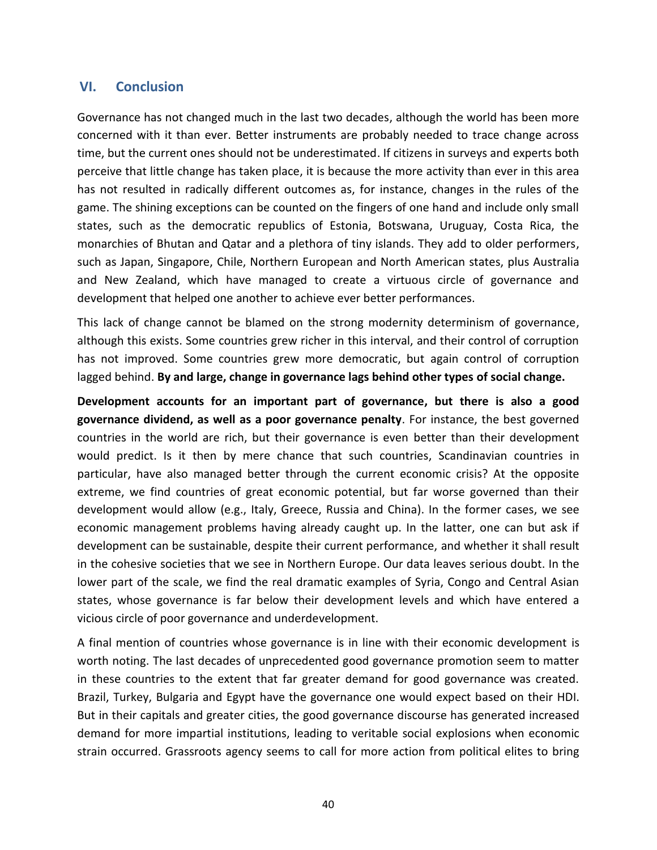## **VI. Conclusion**

Governance has not changed much in the last two decades, although the world has been more concerned with it than ever. Better instruments are probably needed to trace change across time, but the current ones should not be underestimated. If citizens in surveys and experts both perceive that little change has taken place, it is because the more activity than ever in this area has not resulted in radically different outcomes as, for instance, changes in the rules of the game. The shining exceptions can be counted on the fingers of one hand and include only small states, such as the democratic republics of Estonia, Botswana, Uruguay, Costa Rica, the monarchies of Bhutan and Qatar and a plethora of tiny islands. They add to older performers, such as Japan, Singapore, Chile, Northern European and North American states, plus Australia and New Zealand, which have managed to create a virtuous circle of governance and development that helped one another to achieve ever better performances.

This lack of change cannot be blamed on the strong modernity determinism of governance, although this exists. Some countries grew richer in this interval, and their control of corruption has not improved. Some countries grew more democratic, but again control of corruption lagged behind. **By and large, change in governance lags behind other types of social change.** 

**Development accounts for an important part of governance, but there is also a good governance dividend, as well as a poor governance penalty**. For instance, the best governed countries in the world are rich, but their governance is even better than their development would predict. Is it then by mere chance that such countries, Scandinavian countries in particular, have also managed better through the current economic crisis? At the opposite extreme, we find countries of great economic potential, but far worse governed than their development would allow (e.g., Italy, Greece, Russia and China). In the former cases, we see economic management problems having already caught up. In the latter, one can but ask if development can be sustainable, despite their current performance, and whether it shall result in the cohesive societies that we see in Northern Europe. Our data leaves serious doubt. In the lower part of the scale, we find the real dramatic examples of Syria, Congo and Central Asian states, whose governance is far below their development levels and which have entered a vicious circle of poor governance and underdevelopment.

A final mention of countries whose governance is in line with their economic development is worth noting. The last decades of unprecedented good governance promotion seem to matter in these countries to the extent that far greater demand for good governance was created. Brazil, Turkey, Bulgaria and Egypt have the governance one would expect based on their HDI. But in their capitals and greater cities, the good governance discourse has generated increased demand for more impartial institutions, leading to veritable social explosions when economic strain occurred. Grassroots agency seems to call for more action from political elites to bring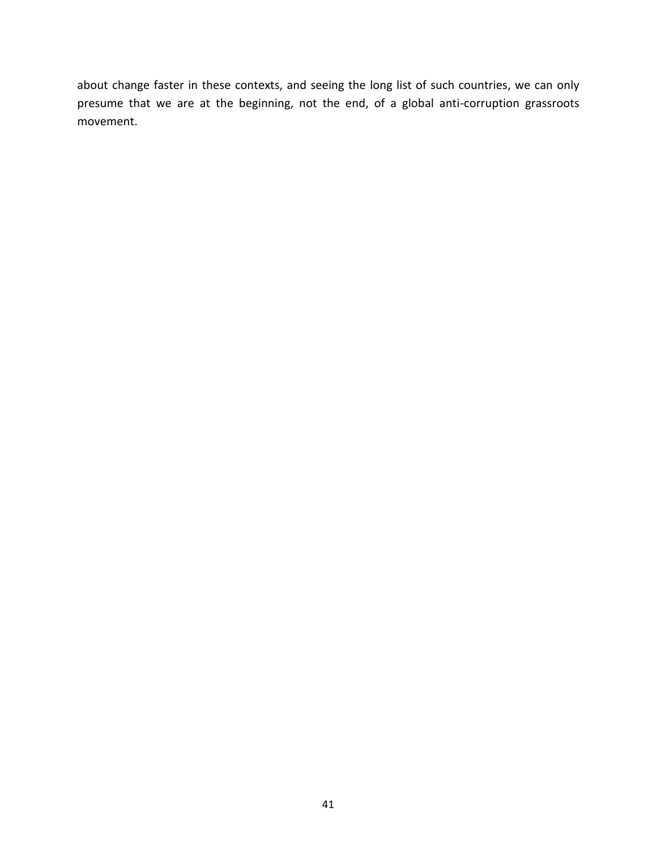about change faster in these contexts, and seeing the long list of such countries, we can only presume that we are at the beginning, not the end, of a global anti-corruption grassroots movement.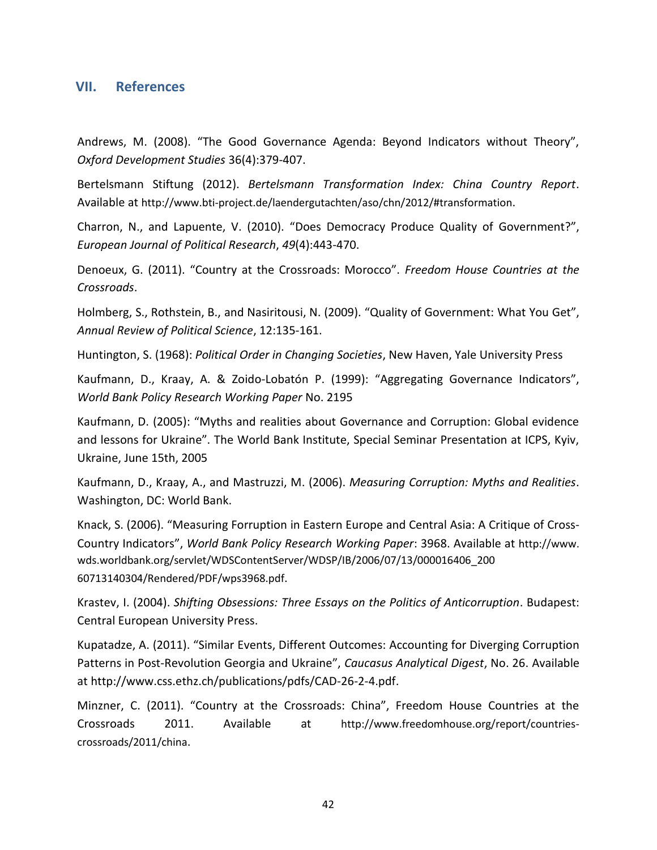### **VII. References**

Andrews, M. (2008). "The Good Governance Agenda: Beyond Indicators without Theory", *Oxford Development Studies* 36(4):379-407.

Bertelsmann Stiftung (2012). *Bertelsmann Transformation Index: China Country Report*. Available at http://www.bti-project.de/laendergutachten/aso/chn/2012/#transformation.

Charron, N., and Lapuente, V. (2010). "Does Democracy Produce Quality of Government?", *European Journal of Political Research*, *49*(4):443-470.

Denoeux, G. (2011). "Country at the Crossroads: Morocco". *Freedom House Countries at the Crossroads*.

Holmberg, S., Rothstein, B., and Nasiritousi, N. (2009). "Quality of Government: What You Get", *Annual Review of Political Science*, 12:135-161.

Huntington, S. (1968): *Political Order in Changing Societies*, New Haven, Yale University Press

Kaufmann, D., Kraay, A. & Zoido-Lobatón P. (1999): "Aggregating Governance Indicators", *World Bank Policy Research Working Paper* No. 2195

Kaufmann, D. (2005): "Myths and realities about Governance and Corruption: Global evidence and lessons for Ukraine". The World Bank Institute, Special Seminar Presentation at ICPS, Kyiv, Ukraine, June 15th, 2005

Kaufmann, D., Kraay, A., and Mastruzzi, M. (2006). *Measuring Corruption: Myths and Realities*. Washington, DC: World Bank.

Knack, S. (2006). "Measuring Forruption in Eastern Europe and Central Asia: A Critique of Cross-Country Indicators", *World Bank Policy Research Working Paper*: 3968. Available at http://www. wds.worldbank.org/servlet/WDSContentServer/WDSP/IB/2006/07/13/000016406\_200 60713140304/Rendered/PDF/wps3968.pdf.

Krastev, I. (2004). *Shifting Obsessions: Three Essays on the Politics of Anticorruption*. Budapest: Central European University Press.

Kupatadze, A. (2011). "Similar Events, Different Outcomes: Accounting for Diverging Corruption Patterns in Post-Revolution Georgia and Ukraine", *Caucasus Analytical Digest*, No. 26. Available at http://www.css.ethz.ch/publications/pdfs/CAD-26-2-4.pdf.

Minzner, C. (2011). "Country at the Crossroads: China", Freedom House Countries at the Crossroads 2011. Available at http://www.freedomhouse.org/report/countriescrossroads/2011/china.